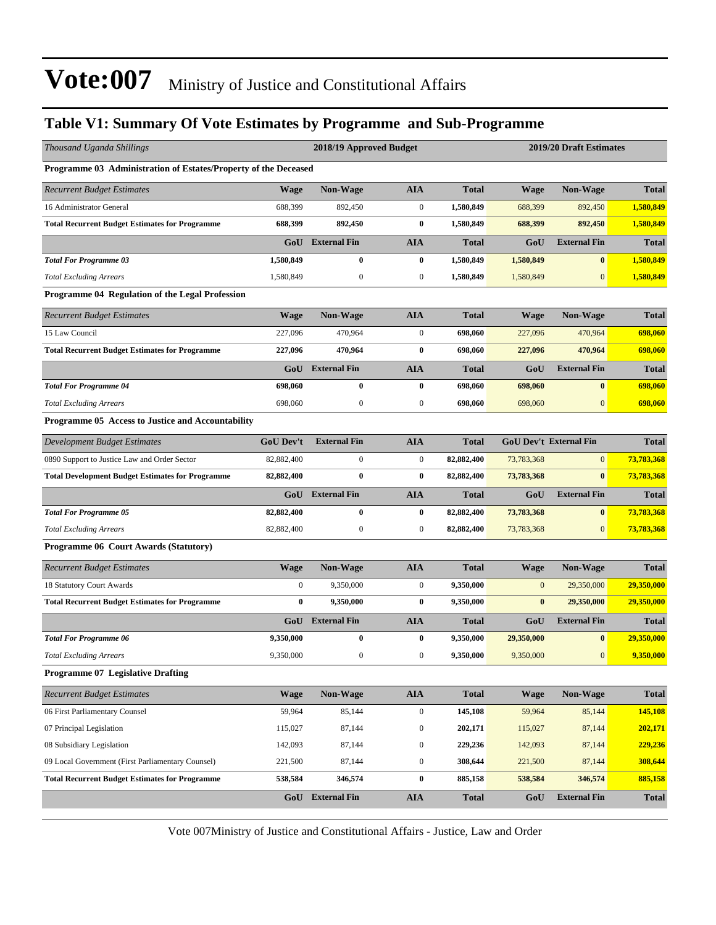### **Table V1: Summary Of Vote Estimates by Programme and Sub-Programme**

| Thousand Uganda Shillings                                       |                  | 2018/19 Approved Budget<br>2019/20 Draft Estimates |                  |              |              |                               |              |  |
|-----------------------------------------------------------------|------------------|----------------------------------------------------|------------------|--------------|--------------|-------------------------------|--------------|--|
| Programme 03 Administration of Estates/Property of the Deceased |                  |                                                    |                  |              |              |                               |              |  |
| <b>Recurrent Budget Estimates</b>                               | <b>Wage</b>      | <b>Non-Wage</b>                                    | <b>AIA</b>       | <b>Total</b> | <b>Wage</b>  | <b>Non-Wage</b>               | <b>Total</b> |  |
| 16 Administrator General                                        | 688,399          | 892,450                                            | $\boldsymbol{0}$ | 1,580,849    | 688,399      | 892,450                       | 1,580,849    |  |
| <b>Total Recurrent Budget Estimates for Programme</b>           | 688,399          | 892,450                                            | $\bf{0}$         | 1,580,849    | 688,399      | 892,450                       | 1,580,849    |  |
|                                                                 |                  | <b>GoU</b> External Fin                            | <b>AIA</b>       | <b>Total</b> | GoU          | <b>External Fin</b>           | <b>Total</b> |  |
| <b>Total For Programme 03</b>                                   | 1,580,849        | $\bf{0}$                                           | $\bf{0}$         | 1,580,849    | 1,580,849    | $\mathbf{0}$                  | 1,580,849    |  |
| <b>Total Excluding Arrears</b>                                  | 1,580,849        | $\boldsymbol{0}$                                   | $\boldsymbol{0}$ | 1,580,849    | 1,580,849    | $\boldsymbol{0}$              | 1,580,849    |  |
| Programme 04 Regulation of the Legal Profession                 |                  |                                                    |                  |              |              |                               |              |  |
| <b>Recurrent Budget Estimates</b>                               | <b>Wage</b>      | <b>Non-Wage</b>                                    | <b>AIA</b>       | <b>Total</b> | <b>Wage</b>  | <b>Non-Wage</b>               | <b>Total</b> |  |
| 15 Law Council                                                  | 227,096          | 470,964                                            | $\boldsymbol{0}$ | 698,060      | 227,096      | 470,964                       | 698,060      |  |
| <b>Total Recurrent Budget Estimates for Programme</b>           | 227,096          | 470,964                                            | $\bf{0}$         | 698,060      | 227,096      | 470,964                       | 698,060      |  |
|                                                                 | GoU              | <b>External Fin</b>                                | <b>AIA</b>       | <b>Total</b> | GoU          | <b>External Fin</b>           | <b>Total</b> |  |
| <b>Total For Programme 04</b>                                   | 698,060          | $\bf{0}$                                           | $\bf{0}$         | 698,060      | 698,060      | $\bf{0}$                      | 698,060      |  |
| <b>Total Excluding Arrears</b>                                  | 698,060          | $\boldsymbol{0}$                                   | $\boldsymbol{0}$ | 698,060      | 698,060      | $\boldsymbol{0}$              | 698,060      |  |
| <b>Programme 05 Access to Justice and Accountability</b>        |                  |                                                    |                  |              |              |                               |              |  |
| <b>Development Budget Estimates</b>                             | <b>GoU Dev't</b> | <b>External Fin</b>                                | <b>AIA</b>       | <b>Total</b> |              | <b>GoU Dev't External Fin</b> | <b>Total</b> |  |
| 0890 Support to Justice Law and Order Sector                    | 82,882,400       | $\boldsymbol{0}$                                   | $\boldsymbol{0}$ | 82,882,400   | 73,783,368   | $\boldsymbol{0}$              | 73,783,368   |  |
| <b>Total Development Budget Estimates for Programme</b>         | 82,882,400       | $\bf{0}$                                           | $\bf{0}$         | 82,882,400   | 73,783,368   | $\bf{0}$                      | 73,783,368   |  |
|                                                                 |                  | <b>GoU</b> External Fin                            | <b>AIA</b>       | <b>Total</b> | GoU          | <b>External Fin</b>           | <b>Total</b> |  |
| <b>Total For Programme 05</b>                                   | 82,882,400       | $\bf{0}$                                           | $\bf{0}$         | 82,882,400   | 73,783,368   | $\bf{0}$                      | 73,783,368   |  |
| <b>Total Excluding Arrears</b>                                  | 82,882,400       | $\boldsymbol{0}$                                   | $\mathbf{0}$     | 82,882,400   | 73,783,368   | $\mathbf{0}$                  | 73,783,368   |  |
| Programme 06 Court Awards (Statutory)                           |                  |                                                    |                  |              |              |                               |              |  |
| <b>Recurrent Budget Estimates</b>                               | <b>Wage</b>      | Non-Wage                                           | <b>AIA</b>       | <b>Total</b> | Wage         | <b>Non-Wage</b>               | <b>Total</b> |  |
| 18 Statutory Court Awards                                       | $\boldsymbol{0}$ | 9,350,000                                          | $\boldsymbol{0}$ | 9,350,000    | $\mathbf{0}$ | 29,350,000                    | 29,350,000   |  |
| <b>Total Recurrent Budget Estimates for Programme</b>           | $\bf{0}$         | 9,350,000                                          | $\bf{0}$         | 9,350,000    | $\bf{0}$     | 29,350,000                    | 29,350,000   |  |
|                                                                 |                  | <b>GoU</b> External Fin                            | <b>AIA</b>       | <b>Total</b> | GoU          | <b>External Fin</b>           | <b>Total</b> |  |
| <b>Total For Programme 06</b>                                   | 9,350,000        | 0                                                  | $\bf{0}$         | 9,350,000    | 29,350,000   | $\bf{0}$                      | 29,350,000   |  |
| <b>Total Excluding Arrears</b>                                  | 9,350,000        | $\mathbf{0}$                                       | $\mathbf{0}$     | 9.350.000    | 9,350,000    | $\mathbf{0}$                  | 9,350,000    |  |
| <b>Programme 07 Legislative Drafting</b>                        |                  |                                                    |                  |              |              |                               |              |  |
| <b>Recurrent Budget Estimates</b>                               | <b>Wage</b>      | Non-Wage                                           | <b>AIA</b>       | <b>Total</b> | <b>Wage</b>  | <b>Non-Wage</b>               | <b>Total</b> |  |
| 06 First Parliamentary Counsel                                  | 59,964           | 85,144                                             | $\boldsymbol{0}$ | 145,108      | 59,964       | 85,144                        | 145,108      |  |
| 07 Principal Legislation                                        | 115,027          | 87,144                                             | $\boldsymbol{0}$ | 202,171      | 115,027      | 87,144                        | 202,171      |  |
| 08 Subsidiary Legislation                                       | 142,093          | 87,144                                             | $\boldsymbol{0}$ | 229,236      | 142,093      | 87,144                        | 229,236      |  |
| 09 Local Government (First Parliamentary Counsel)               | 221,500          | 87,144                                             | $\boldsymbol{0}$ | 308,644      | 221,500      | 87,144                        | 308,644      |  |
| <b>Total Recurrent Budget Estimates for Programme</b>           | 538,584          | 346,574                                            | $\boldsymbol{0}$ | 885,158      | 538,584      | 346,574                       | 885,158      |  |
|                                                                 |                  | GoU External Fin                                   | ${\bf A I A}$    | <b>Total</b> | GoU          | <b>External Fin</b>           | <b>Total</b> |  |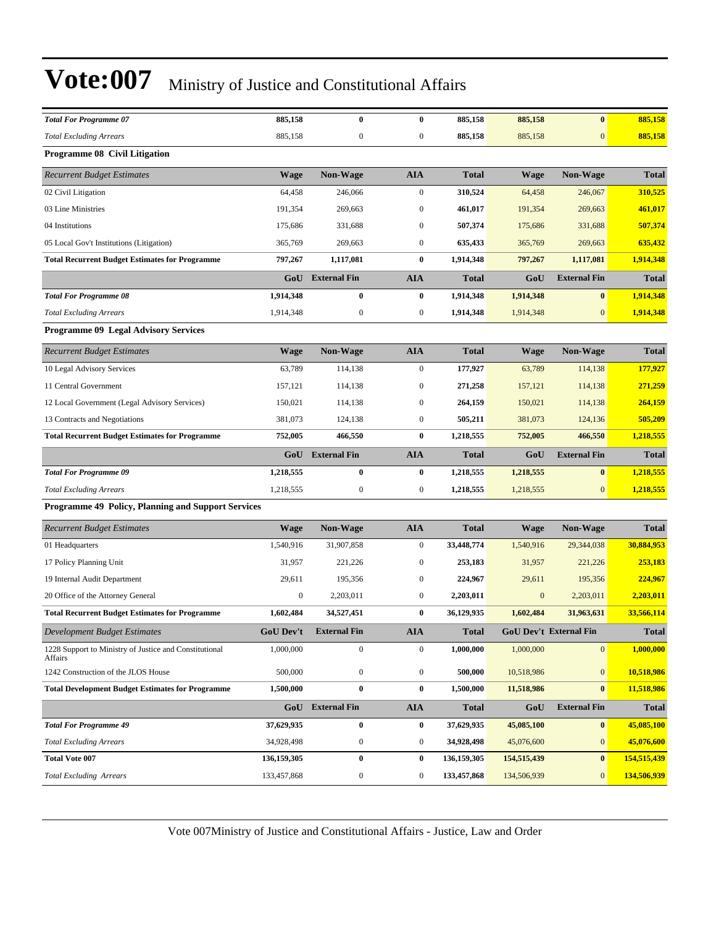| <b>Total For Programme 07</b>                                     | 885,158          | $\bf{0}$            | $\bf{0}$         | 885,158      | 885,158      | $\bf{0}$               | 885,158                                                    |
|-------------------------------------------------------------------|------------------|---------------------|------------------|--------------|--------------|------------------------|------------------------------------------------------------|
| <b>Total Excluding Arrears</b>                                    | 885,158          | $\boldsymbol{0}$    | $\boldsymbol{0}$ | 885,158      | 885,158      | $\mathbf{0}$           | 885,158                                                    |
| Programme 08 Civil Litigation                                     |                  |                     |                  |              |              |                        |                                                            |
| <b>Recurrent Budget Estimates</b>                                 | <b>Wage</b>      | Non-Wage            | <b>AIA</b>       | <b>Total</b> | <b>Wage</b>  | <b>Non-Wage</b>        | <b>Total</b>                                               |
| 02 Civil Litigation                                               | 64,458           | 246,066             | $\mathbf{0}$     | 310,524      | 64,458       | 246,067                | 310,525                                                    |
| 03 Line Ministries                                                | 191,354          | 269,663             | $\boldsymbol{0}$ | 461,017      | 191,354      | 269,663                | 461,017                                                    |
| 04 Institutions                                                   | 175,686          | 331,688             | $\boldsymbol{0}$ | 507,374      | 175,686      | 331,688                | 507,374                                                    |
| 05 Local Gov't Institutions (Litigation)                          | 365,769          | 269,663             | $\boldsymbol{0}$ | 635,433      | 365,769      | 269,663                | 635,432                                                    |
| <b>Total Recurrent Budget Estimates for Programme</b>             | 797,267          | 1,117,081           | $\bf{0}$         | 1,914,348    | 797,267      | 1,117,081              | 1,914,348                                                  |
|                                                                   | GoU              | <b>External Fin</b> | <b>AIA</b>       | <b>Total</b> | GoU          | <b>External Fin</b>    | <b>Total</b>                                               |
| <b>Total For Programme 08</b>                                     | 1,914,348        | $\bf{0}$            | $\bf{0}$         | 1,914,348    | 1,914,348    | $\bf{0}$               | 1,914,348                                                  |
| <b>Total Excluding Arrears</b>                                    | 1,914,348        | $\boldsymbol{0}$    | $\boldsymbol{0}$ | 1,914,348    | 1,914,348    | $\mathbf{0}$           | 1,914,348                                                  |
| <b>Programme 09 Legal Advisory Services</b>                       |                  |                     |                  |              |              |                        |                                                            |
| <b>Recurrent Budget Estimates</b>                                 | <b>Wage</b>      | Non-Wage            | <b>AIA</b>       | <b>Total</b> | <b>Wage</b>  | <b>Non-Wage</b>        | <b>Total</b>                                               |
| 10 Legal Advisory Services                                        | 63,789           | 114,138             | $\mathbf{0}$     | 177,927      | 63,789       | 114,138                | 177,927                                                    |
| 11 Central Government                                             | 157,121          | 114,138             | $\boldsymbol{0}$ | 271,258      | 157,121      | 114,138                | 271,259                                                    |
| 12 Local Government (Legal Advisory Services)                     | 150,021          | 114,138             | $\boldsymbol{0}$ | 264,159      | 150,021      | 114,138                | 264,159                                                    |
| 13 Contracts and Negotiations                                     | 381,073          | 124,138             | $\boldsymbol{0}$ | 505,211      | 381,073      | 124,136                | 505,209                                                    |
| <b>Total Recurrent Budget Estimates for Programme</b>             | 752,005          | 466,550             | $\bf{0}$         | 1,218,555    | 752,005      | 466,550                | 1,218,555                                                  |
|                                                                   |                  |                     |                  | <b>Total</b> | GoU          |                        |                                                            |
|                                                                   |                  | GoU External Fin    | <b>AIA</b>       |              |              | <b>External Fin</b>    | <b>Total</b>                                               |
| <b>Total For Programme 09</b>                                     | 1,218,555        | $\bf{0}$            | $\bf{0}$         | 1,218,555    | 1,218,555    | $\bf{0}$               |                                                            |
| <b>Total Excluding Arrears</b>                                    | 1,218,555        | $\boldsymbol{0}$    | $\boldsymbol{0}$ | 1,218,555    | 1,218,555    | $\boldsymbol{0}$       |                                                            |
| <b>Programme 49 Policy, Planning and Support Services</b>         |                  |                     |                  |              |              |                        |                                                            |
| <b>Recurrent Budget Estimates</b>                                 | <b>Wage</b>      | Non-Wage            | <b>AIA</b>       | <b>Total</b> | <b>Wage</b>  | <b>Non-Wage</b>        | <b>Total</b>                                               |
| 01 Headquarters                                                   | 1,540,916        | 31,907,858          | $\boldsymbol{0}$ | 33,448,774   | 1,540,916    | 29,344,038             |                                                            |
| 17 Policy Planning Unit                                           | 31,957           | 221,226             | $\boldsymbol{0}$ | 253,183      | 31,957       | 221,226                |                                                            |
| 19 Internal Audit Department                                      | 29,611           | 195,356             | $\boldsymbol{0}$ | 224,967      | 29,611       | 195,356                | 1,218,555<br>1,218,555<br>30,884,953<br>253,183<br>224,967 |
| 20 Office of the Attorney General                                 | $\boldsymbol{0}$ | 2,203,011           | $\boldsymbol{0}$ | 2,203,011    | $\mathbf{0}$ | 2,203,011              | 2,203,011                                                  |
| <b>Total Recurrent Budget Estimates for Programme</b>             | 1,602,484        | 34,527,451          | $\bf{0}$         | 36,129,935   | 1,602,484    | 31,963,631             |                                                            |
| <b>Development Budget Estimates</b>                               | <b>GoU Dev't</b> | <b>External Fin</b> | AIA              | Total        |              | GoU Dev't External Fin | <b>Total</b>                                               |
| 1228 Support to Ministry of Justice and Constitutional<br>Affairs | 1,000,000        | $\boldsymbol{0}$    | $\boldsymbol{0}$ | 1,000,000    | 1,000,000    | $\mathbf{0}$           | 33,566,114<br>1,000,000                                    |
| 1242 Construction of the JLOS House                               | 500,000          | $\boldsymbol{0}$    | $\boldsymbol{0}$ | 500,000      | 10,518,986   | $\boldsymbol{0}$       | 10,518,986                                                 |
| <b>Total Development Budget Estimates for Programme</b>           | 1,500,000        | $\bf{0}$            | $\bf{0}$         | 1,500,000    | 11,518,986   | $\bf{0}$               | 11,518,986                                                 |
|                                                                   |                  | GoU External Fin    | <b>AIA</b>       | <b>Total</b> | GoU          | <b>External Fin</b>    | <b>Total</b>                                               |
| <b>Total For Programme 49</b>                                     | 37,629,935       | $\bf{0}$            | $\bf{0}$         | 37,629,935   | 45,085,100   | $\bf{0}$               | 45,085,100                                                 |
| <b>Total Excluding Arrears</b>                                    | 34,928,498       | $\boldsymbol{0}$    | 0                | 34,928,498   | 45,076,600   | $\boldsymbol{0}$       | 45,076,600                                                 |
| <b>Total Vote 007</b>                                             | 136,159,305      | $\boldsymbol{0}$    | $\bf{0}$         | 136,159,305  | 154,515,439  | $\bf{0}$               | 154,515,439                                                |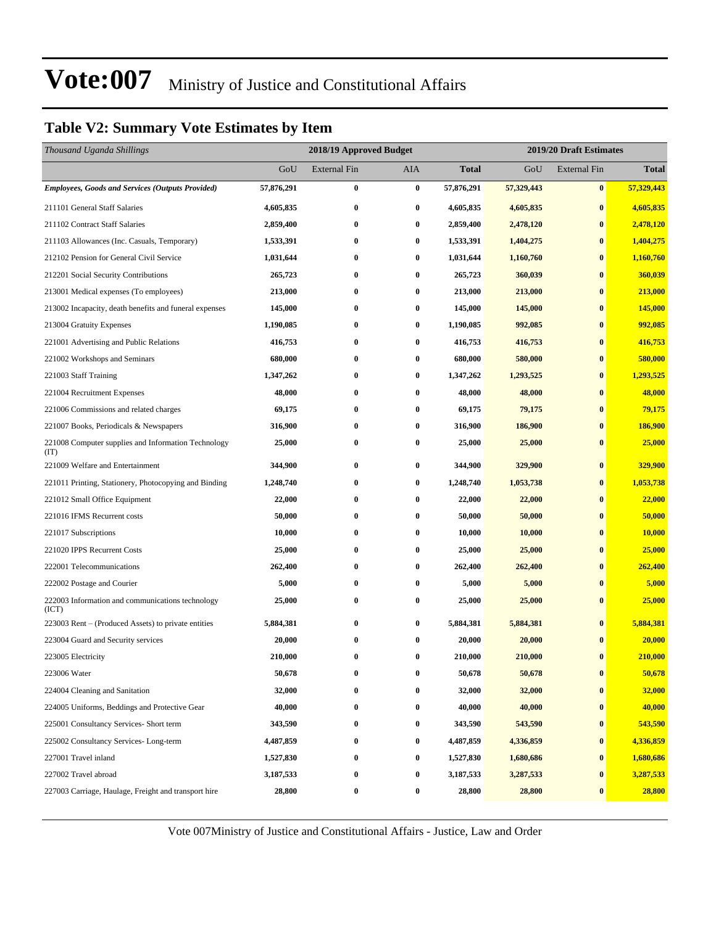### **Table V2: Summary Vote Estimates by Item**

| Thousand Uganda Shillings                                   |            | 2019/20 Draft Estimates<br>2018/19 Approved Budget |                  |              |            |                     |              |
|-------------------------------------------------------------|------------|----------------------------------------------------|------------------|--------------|------------|---------------------|--------------|
|                                                             | GoU        | <b>External Fin</b>                                | AIA              | <b>Total</b> | GoU        | <b>External Fin</b> | <b>Total</b> |
| <b>Employees, Goods and Services (Outputs Provided)</b>     | 57,876,291 | $\bf{0}$                                           | $\bf{0}$         | 57,876,291   | 57,329,443 | $\bf{0}$            | 57,329,443   |
| 211101 General Staff Salaries                               | 4,605,835  | $\bf{0}$                                           | $\bf{0}$         | 4,605,835    | 4,605,835  | $\bf{0}$            | 4,605,835    |
| 211102 Contract Staff Salaries                              | 2,859,400  | $\bf{0}$                                           | $\bf{0}$         | 2,859,400    | 2,478,120  | $\bf{0}$            | 2,478,120    |
| 211103 Allowances (Inc. Casuals, Temporary)                 | 1,533,391  | $\bf{0}$                                           | $\bf{0}$         | 1,533,391    | 1,404,275  | $\bf{0}$            | 1,404,275    |
| 212102 Pension for General Civil Service                    | 1,031,644  | $\bf{0}$                                           | $\bf{0}$         | 1,031,644    | 1,160,760  | $\bf{0}$            | 1,160,760    |
| 212201 Social Security Contributions                        | 265,723    | $\bf{0}$                                           | $\bf{0}$         | 265,723      | 360,039    | $\bf{0}$            | 360,039      |
| 213001 Medical expenses (To employees)                      | 213,000    | $\bf{0}$                                           | 0                | 213,000      | 213,000    | $\bf{0}$            | 213,000      |
| 213002 Incapacity, death benefits and funeral expenses      | 145,000    | $\bf{0}$                                           | $\bf{0}$         | 145,000      | 145,000    | $\bf{0}$            | 145,000      |
| 213004 Gratuity Expenses                                    | 1,190,085  | $\bf{0}$                                           | $\bf{0}$         | 1,190,085    | 992,085    | $\bf{0}$            | 992,085      |
| 221001 Advertising and Public Relations                     | 416,753    | $\bf{0}$                                           | $\bf{0}$         | 416,753      | 416,753    | $\bf{0}$            | 416,753      |
| 221002 Workshops and Seminars                               | 680,000    | $\bf{0}$                                           | $\bf{0}$         | 680,000      | 580,000    | $\bf{0}$            | 580,000      |
| 221003 Staff Training                                       | 1,347,262  | $\bf{0}$                                           | $\bf{0}$         | 1,347,262    | 1,293,525  | $\bf{0}$            | 1,293,525    |
| 221004 Recruitment Expenses                                 | 48,000     | $\bf{0}$                                           | 0                | 48,000       | 48,000     | $\bf{0}$            | 48,000       |
| 221006 Commissions and related charges                      | 69,175     | $\bf{0}$                                           | 0                | 69,175       | 79,175     | $\bf{0}$            | 79,175       |
| 221007 Books, Periodicals & Newspapers                      | 316,900    | $\bf{0}$                                           | $\bf{0}$         | 316,900      | 186,900    | $\bf{0}$            | 186,900      |
| 221008 Computer supplies and Information Technology<br>(TT) | 25,000     | $\bf{0}$                                           | $\bf{0}$         | 25,000       | 25,000     | $\bf{0}$            | 25,000       |
| 221009 Welfare and Entertainment                            | 344,900    | $\bf{0}$                                           | $\bf{0}$         | 344,900      | 329,900    | $\bf{0}$            | 329,900      |
| 221011 Printing, Stationery, Photocopying and Binding       | 1,248,740  | $\bf{0}$                                           | $\bf{0}$         | 1,248,740    | 1,053,738  | $\bf{0}$            | 1,053,738    |
| 221012 Small Office Equipment                               | 22,000     | $\bf{0}$                                           | $\bf{0}$         | 22,000       | 22,000     | $\bf{0}$            | 22,000       |
| 221016 IFMS Recurrent costs                                 | 50,000     | $\bf{0}$                                           | 0                | 50,000       | 50,000     | $\bf{0}$            | 50,000       |
| 221017 Subscriptions                                        | 10,000     | $\bf{0}$                                           | 0                | 10,000       | 10,000     | $\bf{0}$            | 10,000       |
| 221020 IPPS Recurrent Costs                                 | 25,000     | $\bf{0}$                                           | 0                | 25,000       | 25,000     | $\bf{0}$            | 25,000       |
| 222001 Telecommunications                                   | 262,400    | $\bf{0}$                                           | $\bf{0}$         | 262,400      | 262,400    | $\bf{0}$            | 262,400      |
| 222002 Postage and Courier                                  | 5,000      | $\bf{0}$                                           | 0                | 5,000        | 5,000      | $\bf{0}$            | 5,000        |
| 222003 Information and communications technology<br>(ICT)   | 25,000     | $\bf{0}$                                           | 0                | 25,000       | 25,000     | $\bf{0}$            | 25,000       |
| 223003 Rent – (Produced Assets) to private entities         | 5,884,381  | $\bf{0}$                                           | $\bf{0}$         | 5,884,381    | 5,884,381  | $\bf{0}$            | 5,884,381    |
| 223004 Guard and Security services                          | 20,000     | $\bf{0}$                                           | 0                | 20,000       | 20,000     | $\bf{0}$            | 20,000       |
| 223005 Electricity                                          | 210,000    | $\bf{0}$                                           | $\bf{0}$         | 210,000      | 210,000    | $\bf{0}$            | 210,000      |
| 223006 Water                                                | 50,678     | $\bf{0}$                                           | $\bf{0}$         | 50,678       | 50,678     | $\pmb{0}$           | 50,678       |
| 224004 Cleaning and Sanitation                              | 32,000     | $\bf{0}$                                           | $\bf{0}$         | 32,000       | 32,000     | $\pmb{0}$           | 32,000       |
| 224005 Uniforms, Beddings and Protective Gear               | 40,000     | $\bf{0}$                                           | $\boldsymbol{0}$ | 40,000       | 40,000     | $\bf{0}$            | 40,000       |
| 225001 Consultancy Services- Short term                     | 343,590    | $\bf{0}$                                           | $\bf{0}$         | 343,590      | 543,590    | $\bf{0}$            | 543,590      |
| 225002 Consultancy Services-Long-term                       | 4,487,859  | $\bf{0}$                                           | $\bf{0}$         | 4,487,859    | 4,336,859  | $\bf{0}$            | 4,336,859    |
| 227001 Travel inland                                        | 1,527,830  | $\bf{0}$                                           | $\bf{0}$         | 1,527,830    | 1,680,686  | $\bf{0}$            | 1,680,686    |
| 227002 Travel abroad                                        | 3,187,533  | $\bf{0}$                                           | $\bf{0}$         | 3,187,533    | 3,287,533  | $\bf{0}$            | 3,287,533    |
| 227003 Carriage, Haulage, Freight and transport hire        | 28,800     | $\bf{0}$                                           | $\boldsymbol{0}$ | 28,800       | 28,800     | $\bf{0}$            | 28,800       |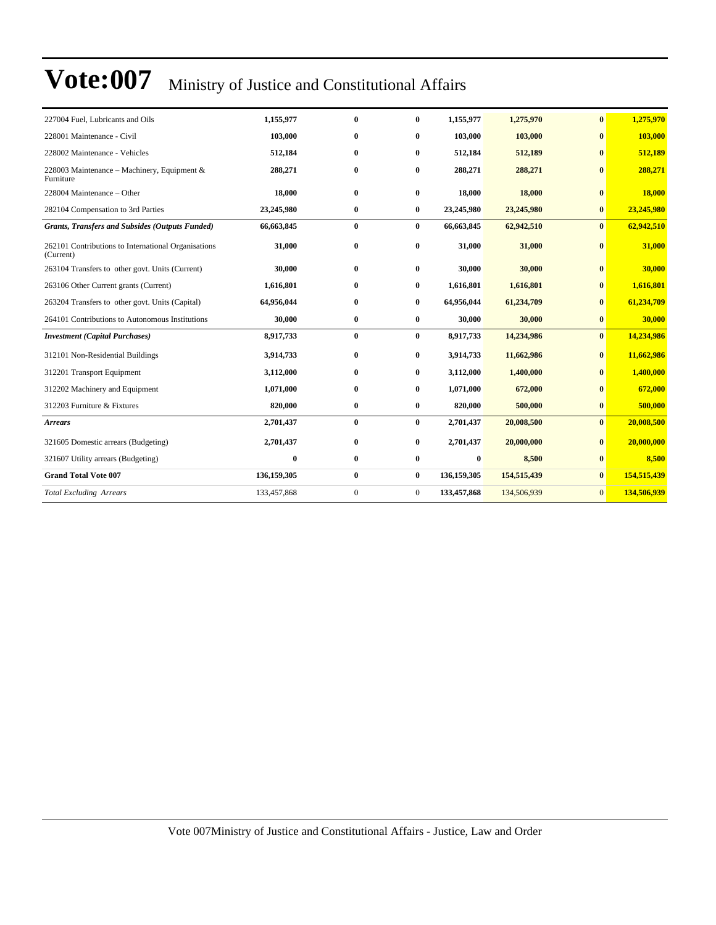| 227004 Fuel, Lubricants and Oils                                 | 1,155,977   | $\mathbf{0}$     | $\bf{0}$       | 1,155,977   | 1,275,970   | $\bf{0}$       | 1,275,970   |
|------------------------------------------------------------------|-------------|------------------|----------------|-------------|-------------|----------------|-------------|
| 228001 Maintenance - Civil                                       | 103,000     | $\bf{0}$         | $\bf{0}$       | 103,000     | 103,000     | $\bf{0}$       | 103,000     |
| 228002 Maintenance - Vehicles                                    | 512,184     | $\bf{0}$         | $\bf{0}$       | 512,184     | 512,189     | $\mathbf{0}$   | 512,189     |
| 228003 Maintenance – Machinery, Equipment &<br>Furniture         | 288,271     | $\bf{0}$         | 0              | 288,271     | 288,271     | $\bf{0}$       | 288,271     |
| 228004 Maintenance – Other                                       | 18,000      | $\bf{0}$         | $\bf{0}$       | 18,000      | 18,000      | $\bf{0}$       | 18,000      |
| 282104 Compensation to 3rd Parties                               | 23,245,980  | $\bf{0}$         | $\bf{0}$       | 23,245,980  | 23,245,980  | $\mathbf{0}$   | 23,245,980  |
| <b>Grants, Transfers and Subsides (Outputs Funded)</b>           | 66,663,845  | $\bf{0}$         | $\bf{0}$       | 66,663,845  | 62,942,510  | $\bf{0}$       | 62,942,510  |
| 262101 Contributions to International Organisations<br>(Current) | 31,000      | $\bf{0}$         | $\bf{0}$       | 31,000      | 31,000      | $\bf{0}$       | 31,000      |
| 263104 Transfers to other govt. Units (Current)                  | 30,000      | $\bf{0}$         | $\bf{0}$       | 30,000      | 30,000      | $\mathbf{0}$   | 30,000      |
| 263106 Other Current grants (Current)                            | 1,616,801   | $\bf{0}$         | 0              | 1,616,801   | 1,616,801   | $\bf{0}$       | 1,616,801   |
| 263204 Transfers to other govt. Units (Capital)                  | 64,956,044  | $\bf{0}$         | $\bf{0}$       | 64,956,044  | 61,234,709  | $\bf{0}$       | 61,234,709  |
| 264101 Contributions to Autonomous Institutions                  | 30,000      | $\bf{0}$         | $\bf{0}$       | 30,000      | 30,000      | $\bf{0}$       | 30,000      |
| <b>Investment</b> (Capital Purchases)                            | 8,917,733   | $\bf{0}$         | $\bf{0}$       | 8,917,733   | 14,234,986  | $\bf{0}$       | 14,234,986  |
| 312101 Non-Residential Buildings                                 | 3,914,733   | $\bf{0}$         | $\bf{0}$       | 3,914,733   | 11,662,986  | $\bf{0}$       | 11,662,986  |
| 312201 Transport Equipment                                       | 3,112,000   | $\bf{0}$         | $\bf{0}$       | 3,112,000   | 1,400,000   | $\bf{0}$       | 1,400,000   |
| 312202 Machinery and Equipment                                   | 1,071,000   | $\bf{0}$         | $\bf{0}$       | 1,071,000   | 672,000     | $\bf{0}$       | 672,000     |
| 312203 Furniture & Fixtures                                      | 820,000     | $\bf{0}$         | $\bf{0}$       | 820,000     | 500,000     | $\bf{0}$       | 500,000     |
| <b>Arrears</b>                                                   | 2,701,437   | $\bf{0}$         | $\bf{0}$       | 2,701,437   | 20,008,500  | $\bf{0}$       | 20,008,500  |
| 321605 Domestic arrears (Budgeting)                              | 2,701,437   | $\bf{0}$         | $\bf{0}$       | 2,701,437   | 20,000,000  | $\bf{0}$       | 20,000,000  |
| 321607 Utility arrears (Budgeting)                               | $\bf{0}$    | $\bf{0}$         | $\bf{0}$       | $\bf{0}$    | 8,500       | $\mathbf{0}$   | 8,500       |
| <b>Grand Total Vote 007</b>                                      | 136,159,305 | $\bf{0}$         | $\bf{0}$       | 136,159,305 | 154,515,439 | $\bf{0}$       | 154,515,439 |
| <b>Total Excluding Arrears</b>                                   | 133,457,868 | $\boldsymbol{0}$ | $\overline{0}$ | 133,457,868 | 134,506,939 | $\overline{0}$ | 134,506,939 |
|                                                                  |             |                  |                |             |             |                |             |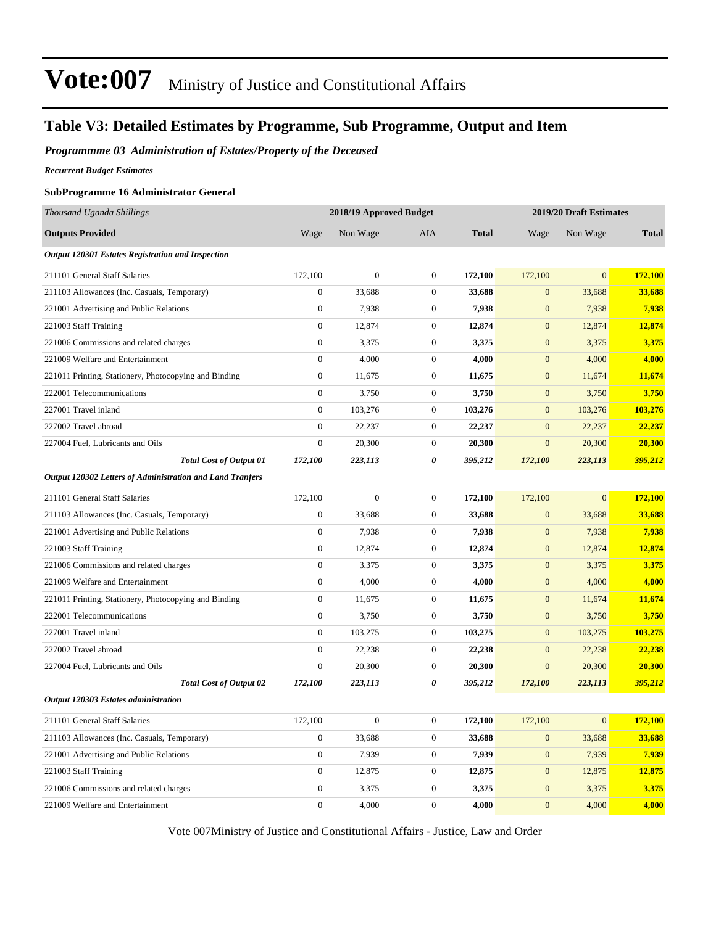### **Table V3: Detailed Estimates by Programme, Sub Programme, Output and Item**

*Programmme 03 Administration of Estates/Property of the Deceased*

*Recurrent Budget Estimates*

#### **SubProgramme 16 Administrator General**

| Thousand Uganda Shillings                                 |                  | 2018/19 Approved Budget |                  |              |                  | 2019/20 Draft Estimates |                 |  |  |
|-----------------------------------------------------------|------------------|-------------------------|------------------|--------------|------------------|-------------------------|-----------------|--|--|
| <b>Outputs Provided</b>                                   | Wage             | Non Wage                | AIA              | <b>Total</b> | Wage             | Non Wage                | <b>Total</b>    |  |  |
| Output 120301 Estates Registration and Inspection         |                  |                         |                  |              |                  |                         |                 |  |  |
| 211101 General Staff Salaries                             | 172,100          | $\boldsymbol{0}$        | $\mathbf{0}$     | 172,100      | 172,100          | $\overline{0}$          | 172,100         |  |  |
| 211103 Allowances (Inc. Casuals, Temporary)               | $\boldsymbol{0}$ | 33,688                  | $\mathbf{0}$     | 33,688       | $\boldsymbol{0}$ | 33,688                  | 33,688          |  |  |
| 221001 Advertising and Public Relations                   | $\boldsymbol{0}$ | 7,938                   | $\boldsymbol{0}$ | 7,938        | $\boldsymbol{0}$ | 7,938                   | 7,938           |  |  |
| 221003 Staff Training                                     | $\boldsymbol{0}$ | 12,874                  | $\boldsymbol{0}$ | 12,874       | $\mathbf{0}$     | 12,874                  | 12,874          |  |  |
| 221006 Commissions and related charges                    | $\boldsymbol{0}$ | 3,375                   | $\boldsymbol{0}$ | 3,375        | $\boldsymbol{0}$ | 3,375                   | 3,375           |  |  |
| 221009 Welfare and Entertainment                          | $\boldsymbol{0}$ | 4,000                   | $\boldsymbol{0}$ | 4,000        | $\boldsymbol{0}$ | 4,000                   | 4,000           |  |  |
| 221011 Printing, Stationery, Photocopying and Binding     | $\boldsymbol{0}$ | 11,675                  | $\boldsymbol{0}$ | 11,675       | $\boldsymbol{0}$ | 11,674                  | 11,674          |  |  |
| 222001 Telecommunications                                 | $\boldsymbol{0}$ | 3,750                   | $\boldsymbol{0}$ | 3,750        | $\boldsymbol{0}$ | 3,750                   | 3,750           |  |  |
| 227001 Travel inland                                      | $\boldsymbol{0}$ | 103,276                 | $\boldsymbol{0}$ | 103,276      | $\mathbf{0}$     | 103,276                 | 103,276         |  |  |
| 227002 Travel abroad                                      | $\boldsymbol{0}$ | 22,237                  | $\boldsymbol{0}$ | 22,237       | $\boldsymbol{0}$ | 22,237                  | 22,237          |  |  |
| 227004 Fuel, Lubricants and Oils                          | $\boldsymbol{0}$ | 20,300                  | $\mathbf{0}$     | 20,300       | $\boldsymbol{0}$ | 20,300                  | 20,300          |  |  |
| <b>Total Cost of Output 01</b>                            | 172,100          | 223,113                 | 0                | 395,212      | 172,100          | 223,113                 | 395,212         |  |  |
| Output 120302 Letters of Administration and Land Tranfers |                  |                         |                  |              |                  |                         |                 |  |  |
| 211101 General Staff Salaries                             | 172,100          | $\boldsymbol{0}$        | $\boldsymbol{0}$ | 172,100      | 172,100          | $\overline{0}$          | 172,100         |  |  |
| 211103 Allowances (Inc. Casuals, Temporary)               | $\boldsymbol{0}$ | 33,688                  | $\boldsymbol{0}$ | 33,688       | $\boldsymbol{0}$ | 33,688                  | 33,688          |  |  |
| 221001 Advertising and Public Relations                   | $\boldsymbol{0}$ | 7,938                   | $\boldsymbol{0}$ | 7,938        | $\boldsymbol{0}$ | 7,938                   | 7,938           |  |  |
| 221003 Staff Training                                     | $\boldsymbol{0}$ | 12,874                  | $\mathbf{0}$     | 12,874       | $\mathbf{0}$     | 12,874                  | 12,874          |  |  |
| 221006 Commissions and related charges                    | $\boldsymbol{0}$ | 3,375                   | $\boldsymbol{0}$ | 3,375        | $\boldsymbol{0}$ | 3,375                   | 3,375           |  |  |
| 221009 Welfare and Entertainment                          | $\boldsymbol{0}$ | 4,000                   | $\boldsymbol{0}$ | 4,000        | $\mathbf{0}$     | 4,000                   | 4,000           |  |  |
| 221011 Printing, Stationery, Photocopying and Binding     | $\boldsymbol{0}$ | 11,675                  | $\boldsymbol{0}$ | 11,675       | $\boldsymbol{0}$ | 11,674                  | 11,674          |  |  |
| 222001 Telecommunications                                 | $\boldsymbol{0}$ | 3,750                   | $\boldsymbol{0}$ | 3,750        | $\boldsymbol{0}$ | 3,750                   | 3,750           |  |  |
| 227001 Travel inland                                      | $\boldsymbol{0}$ | 103,275                 | $\mathbf{0}$     | 103,275      | $\mathbf{0}$     | 103,275                 | 103,275         |  |  |
| 227002 Travel abroad                                      | $\boldsymbol{0}$ | 22,238                  | $\boldsymbol{0}$ | 22,238       | $\boldsymbol{0}$ | 22,238                  | 22,238          |  |  |
| 227004 Fuel, Lubricants and Oils                          | $\boldsymbol{0}$ | 20,300                  | $\boldsymbol{0}$ | 20,300       | $\mathbf{0}$     | 20,300                  | 20,300          |  |  |
| <b>Total Cost of Output 02</b>                            | 172,100          | 223,113                 | 0                | 395,212      | 172,100          | 223,113                 | <u>395,212 </u> |  |  |
| Output 120303 Estates administration                      |                  |                         |                  |              |                  |                         |                 |  |  |
| 211101 General Staff Salaries                             | 172,100          | $\mathbf{0}$            | $\boldsymbol{0}$ | 172,100      | 172,100          | $\mathbf{0}$            | 172,100         |  |  |
| 211103 Allowances (Inc. Casuals, Temporary)               | $\boldsymbol{0}$ | 33,688                  | $\boldsymbol{0}$ | 33,688       | $\mathbf{0}$     | 33,688                  | 33,688          |  |  |
| 221001 Advertising and Public Relations                   | $\boldsymbol{0}$ | 7,939                   | $\boldsymbol{0}$ | 7,939        | $\boldsymbol{0}$ | 7,939                   | 7,939           |  |  |
| 221003 Staff Training                                     | $\boldsymbol{0}$ | 12,875                  | $\overline{0}$   | 12,875       | $\boldsymbol{0}$ | 12,875                  | 12,875          |  |  |
| 221006 Commissions and related charges                    | $\boldsymbol{0}$ | 3,375                   | $\boldsymbol{0}$ | 3,375        | $\mathbf{0}$     | 3,375                   | 3,375           |  |  |
| 221009 Welfare and Entertainment                          | $\boldsymbol{0}$ | 4,000                   | $\boldsymbol{0}$ | 4,000        | $\boldsymbol{0}$ | 4,000                   | 4,000           |  |  |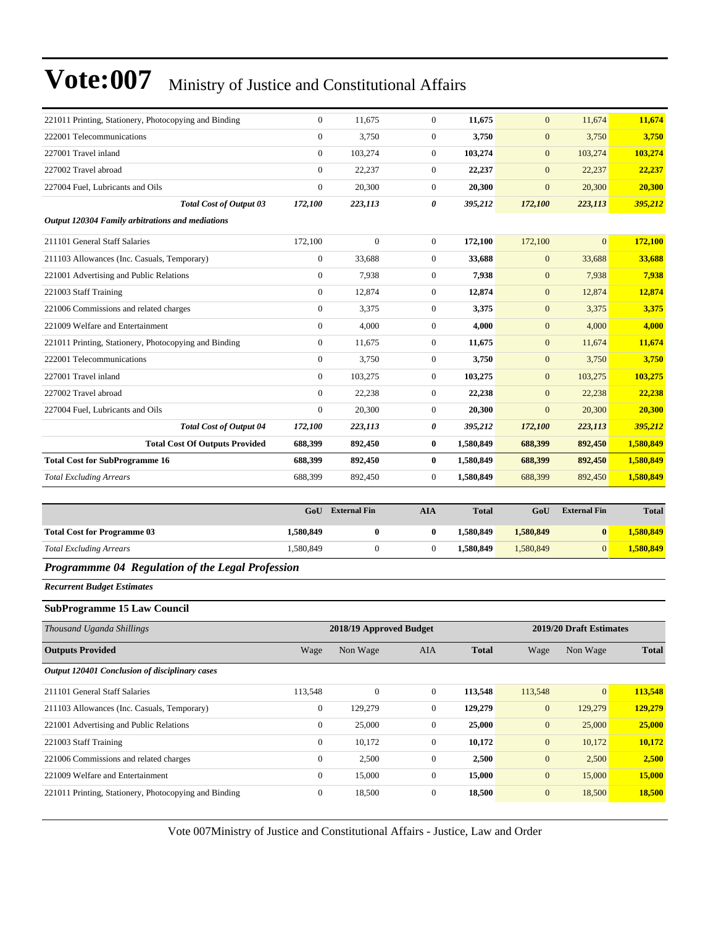| 221011 Printing, Stationery, Photocopying and Binding | $\overline{0}$ | 11,675           | $\Omega$       | 11,675    | $\mathbf{0}$   | 11,674         | 11,674    |
|-------------------------------------------------------|----------------|------------------|----------------|-----------|----------------|----------------|-----------|
| 222001 Telecommunications                             | $\mathbf{0}$   | 3,750            | $\overline{0}$ | 3,750     | $\mathbf{0}$   | 3,750          | 3,750     |
| 227001 Travel inland                                  | $\overline{0}$ | 103,274          | $\overline{0}$ | 103,274   | $\mathbf{0}$   | 103,274        | 103,274   |
| 227002 Travel abroad                                  | $\Omega$       | 22,237           | $\overline{0}$ | 22,237    | $\mathbf{0}$   | 22,237         | 22,237    |
| 227004 Fuel, Lubricants and Oils                      | $\Omega$       | 20,300           | $\overline{0}$ | 20,300    | $\mathbf{0}$   | 20,300         | 20,300    |
| <b>Total Cost of Output 03</b>                        | 172,100        | 223,113          | 0              | 395,212   | 172,100        | 223,113        | 395,212   |
| Output 120304 Family arbitrations and mediations      |                |                  |                |           |                |                |           |
| 211101 General Staff Salaries                         | 172,100        | $\boldsymbol{0}$ | $\overline{0}$ | 172,100   | 172,100        | $\overline{0}$ | 172,100   |
| 211103 Allowances (Inc. Casuals, Temporary)           | $\overline{0}$ | 33,688           | $\overline{0}$ | 33,688    | $\overline{0}$ | 33,688         | 33,688    |
| 221001 Advertising and Public Relations               | $\overline{0}$ | 7,938            | $\overline{0}$ | 7,938     | $\mathbf{0}$   | 7,938          | 7,938     |
| 221003 Staff Training                                 | $\mathbf{0}$   | 12,874           | $\overline{0}$ | 12,874    | $\mathbf{0}$   | 12,874         | 12,874    |
| 221006 Commissions and related charges                | $\overline{0}$ | 3,375            | $\overline{0}$ | 3,375     | $\mathbf{0}$   | 3,375          | 3,375     |
| 221009 Welfare and Entertainment                      | $\mathbf{0}$   | 4,000            | $\overline{0}$ | 4,000     | $\mathbf{0}$   | 4,000          | 4,000     |
| 221011 Printing, Stationery, Photocopying and Binding | $\overline{0}$ | 11,675           | $\overline{0}$ | 11,675    | $\mathbf{0}$   | 11,674         | 11,674    |
| 222001 Telecommunications                             | $\Omega$       | 3,750            | $\overline{0}$ | 3,750     | $\mathbf{0}$   | 3,750          | 3,750     |
| 227001 Travel inland                                  | $\mathbf{0}$   | 103,275          | $\overline{0}$ | 103,275   | $\mathbf{0}$   | 103,275        | 103,275   |
| 227002 Travel abroad                                  | $\Omega$       | 22,238           | $\overline{0}$ | 22,238    | $\mathbf{0}$   | 22,238         | 22,238    |
| 227004 Fuel. Lubricants and Oils                      | $\Omega$       | 20,300           | $\overline{0}$ | 20.300    | $\overline{0}$ | 20,300         | 20,300    |
| <b>Total Cost of Output 04</b>                        | 172,100        | 223,113          | 0              | 395,212   | 172,100        | 223,113        | 395,212   |
| <b>Total Cost Of Outputs Provided</b>                 | 688,399        | 892,450          | $\bf{0}$       | 1,580,849 | 688,399        | 892,450        | 1,580,849 |
| <b>Total Cost for SubProgramme 16</b>                 | 688,399        | 892,450          | $\bf{0}$       | 1,580,849 | 688,399        | 892,450        | 1,580,849 |
| <b>Total Excluding Arrears</b>                        | 688,399        | 892,450          | $\overline{0}$ | 1,580,849 | 688,399        | 892,450        | 1,580,849 |

|                                    | GoU       | <b>External Fin</b> | AIA | <b>Total</b> | GoU       | <b>External Fin</b> | <b>Total</b> |
|------------------------------------|-----------|---------------------|-----|--------------|-----------|---------------------|--------------|
| <b>Total Cost for Programme 03</b> | 1,580,849 |                     |     | 1.580.849    | 1.580.849 | $\mathbf{0}$        | 1.580.849    |
| <b>Total Excluding Arrears</b>     | .580,849  |                     |     | 1,580,849    | 1,580,849 |                     | 1.580.849    |

#### *Programmme 04 Regulation of the Legal Profession*

*Recurrent Budget Estimates*

#### **SubProgramme 15 Law Council**

| Thousand Uganda Shillings                             | 2019/20 Draft Estimates<br>2018/19 Approved Budget |          |                |              |              |                |              |
|-------------------------------------------------------|----------------------------------------------------|----------|----------------|--------------|--------------|----------------|--------------|
| <b>Outputs Provided</b>                               | Wage                                               | Non Wage | <b>AIA</b>     | <b>Total</b> | Wage         | Non Wage       | <b>Total</b> |
| Output 120401 Conclusion of disciplinary cases        |                                                    |          |                |              |              |                |              |
| 211101 General Staff Salaries                         | 113.548                                            | $\Omega$ | $\overline{0}$ | 113,548      | 113,548      | $\overline{0}$ | 113,548      |
| 211103 Allowances (Inc. Casuals, Temporary)           | $\mathbf{0}$                                       | 129,279  | $\overline{0}$ | 129,279      | $\mathbf{0}$ | 129,279        | 129,279      |
| 221001 Advertising and Public Relations               | $\mathbf{0}$                                       | 25,000   | $\mathbf{0}$   | 25,000       | $\mathbf{0}$ | 25,000         | 25,000       |
| 221003 Staff Training                                 | $\mathbf{0}$                                       | 10,172   | $\overline{0}$ | 10,172       | $\mathbf{0}$ | 10,172         | 10,172       |
| 221006 Commissions and related charges                | $\mathbf{0}$                                       | 2,500    | $\overline{0}$ | 2,500        | $\mathbf{0}$ | 2,500          | 2,500        |
| 221009 Welfare and Entertainment                      | $\mathbf{0}$                                       | 15,000   | $\Omega$       | 15,000       | $\mathbf{0}$ | 15,000         | 15,000       |
| 221011 Printing, Stationery, Photocopying and Binding | $\mathbf{0}$                                       | 18,500   | $\mathbf{0}$   | 18,500       | $\mathbf{0}$ | 18,500         | 18,500       |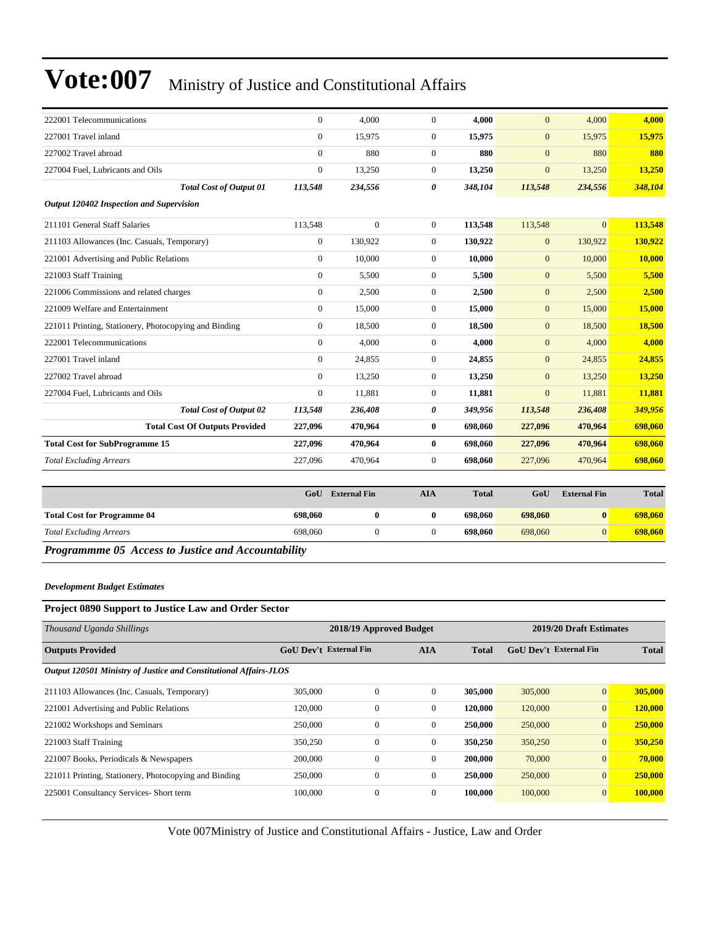| <b>Total Cost for Programme 04</b>                    |                                       | 698,060          | 0                   | $\bf{0}$       | 698.060      | 698,060        | $\bf{0}$            | 698,060      |
|-------------------------------------------------------|---------------------------------------|------------------|---------------------|----------------|--------------|----------------|---------------------|--------------|
|                                                       |                                       | GoU              | <b>External Fin</b> | <b>AIA</b>     | <b>Total</b> | GoU            | <b>External Fin</b> | <b>Total</b> |
|                                                       |                                       |                  |                     |                |              |                |                     |              |
| <b>Total Excluding Arrears</b>                        |                                       | 227,096          | 470,964             | $\overline{0}$ | 698,060      | 227,096        | 470,964             | 698,060      |
| <b>Total Cost for SubProgramme 15</b>                 |                                       | 227,096          | 470,964             | $\bf{0}$       | 698,060      | 227,096        | 470,964             | 698,060      |
|                                                       | <b>Total Cost Of Outputs Provided</b> | 227,096          | 470,964             | $\bf{0}$       | 698,060      | 227,096        | 470,964             | 698,060      |
|                                                       | <b>Total Cost of Output 02</b>        | 113,548          | 236,408             | 0              | 349,956      | 113,548        | 236,408             | 349,956      |
| 227004 Fuel, Lubricants and Oils                      |                                       | $\overline{0}$   | 11,881              | $\overline{0}$ | 11,881       | $\mathbf{0}$   | 11,881              | 11,881       |
| 227002 Travel abroad                                  |                                       | $\Omega$         | 13,250              | $\overline{0}$ | 13,250       | $\mathbf{0}$   | 13,250              | 13,250       |
| 227001 Travel inland                                  |                                       | $\Omega$         | 24,855              | $\overline{0}$ | 24,855       | $\mathbf{0}$   | 24,855              | 24,855       |
| 222001 Telecommunications                             |                                       | $\overline{0}$   | 4,000               | $\overline{0}$ | 4,000        | $\mathbf{0}$   | 4,000               | 4,000        |
| 221011 Printing, Stationery, Photocopying and Binding |                                       | $\mathbf{0}$     | 18,500              | $\overline{0}$ | 18,500       | $\mathbf{0}$   | 18,500              | 18,500       |
| 221009 Welfare and Entertainment                      |                                       | $\mathbf{0}$     | 15,000              | $\overline{0}$ | 15,000       | $\mathbf{0}$   | 15,000              | 15,000       |
| 221006 Commissions and related charges                |                                       | $\mathbf{0}$     | 2,500               | $\overline{0}$ | 2,500        | $\mathbf{0}$   | 2,500               | 2,500        |
| 221003 Staff Training                                 |                                       | $\mathbf{0}$     | 5,500               | $\overline{0}$ | 5,500        | $\mathbf{0}$   | 5,500               | 5,500        |
| 221001 Advertising and Public Relations               |                                       | $\mathbf{0}$     | 10.000              | $\overline{0}$ | 10,000       | $\mathbf{0}$   | 10,000              | 10,000       |
| 211103 Allowances (Inc. Casuals, Temporary)           |                                       | $\boldsymbol{0}$ | 130,922             | $\overline{0}$ | 130,922      | $\mathbf{0}$   | 130,922             | 130,922      |
| 211101 General Staff Salaries                         |                                       | 113,548          | $\mathbf{0}$        | $\overline{0}$ | 113,548      | 113,548        | $\Omega$            | 113,548      |
| Output 120402 Inspection and Supervision              |                                       |                  |                     |                |              |                |                     |              |
|                                                       | <b>Total Cost of Output 01</b>        | 113,548          | 234,556             | 0              | 348,104      | 113,548        | 234,556             | 348,104      |
| 227004 Fuel, Lubricants and Oils                      |                                       | $\mathbf{0}$     | 13,250              | 0              | 13,250       | $\mathbf{0}$   | 13,250              | 13,250       |
| 227002 Travel abroad                                  |                                       | $\Omega$         | 880                 | $\overline{0}$ | 880          | $\overline{0}$ | 880                 | 880          |
| 227001 Travel inland                                  |                                       | $\mathbf{0}$     | 15.975              | $\overline{0}$ | 15.975       | $\mathbf{0}$   | 15,975              | 15,975       |
| 222001 Telecommunications                             |                                       | $\overline{0}$   | 4,000               | $\overline{0}$ | 4,000        | $\mathbf{0}$   | 4,000               | 4,000        |

*Programmme 05 Access to Justice and Accountability*

*Development Budget Estimates*

#### **Project 0890 Support to Justice Law and Order Sector**

| Thousand Uganda Shillings                                         | 2018/19 Approved Budget       | 2019/20 Draft Estimates |                |              |                        |                |              |
|-------------------------------------------------------------------|-------------------------------|-------------------------|----------------|--------------|------------------------|----------------|--------------|
| <b>Outputs Provided</b>                                           | <b>GoU</b> Dev't External Fin |                         | <b>AIA</b>     | <b>Total</b> | GoU Dev't External Fin |                | <b>Total</b> |
| Output 120501 Ministry of Justice and Constitutional Affairs-JLOS |                               |                         |                |              |                        |                |              |
| 211103 Allowances (Inc. Casuals, Temporary)                       | 305,000                       | $\Omega$                | $\Omega$       | 305,000      | 305,000                | $\overline{0}$ | 305,000      |
| 221001 Advertising and Public Relations                           | 120,000                       | $\Omega$                | $\mathbf{0}$   | 120,000      | 120,000                | $\overline{0}$ | 120,000      |
| 221002 Workshops and Seminars                                     | 250,000                       | $\Omega$                | $\mathbf{0}$   | 250,000      | 250,000                | $\overline{0}$ | 250,000      |
| 221003 Staff Training                                             | 350,250                       | $\boldsymbol{0}$        | $\mathbf{0}$   | 350,250      | 350,250                | $\overline{0}$ | 350,250      |
| 221007 Books, Periodicals & Newspapers                            | 200,000                       | $\boldsymbol{0}$        | $\overline{0}$ | 200,000      | 70,000                 | $\overline{0}$ | 70,000       |
| 221011 Printing, Stationery, Photocopying and Binding             | 250,000                       | $\Omega$                | $\Omega$       | 250,000      | 250,000                | $\overline{0}$ | 250,000      |
| 225001 Consultancy Services- Short term                           | 100,000                       | $\boldsymbol{0}$        | $\mathbf{0}$   | 100,000      | 100,000                | $\mathbf{0}$   | 100,000      |

*Total Excluding Arrears* 698,060 0 0 **698,060** 698,060 0 **698,060**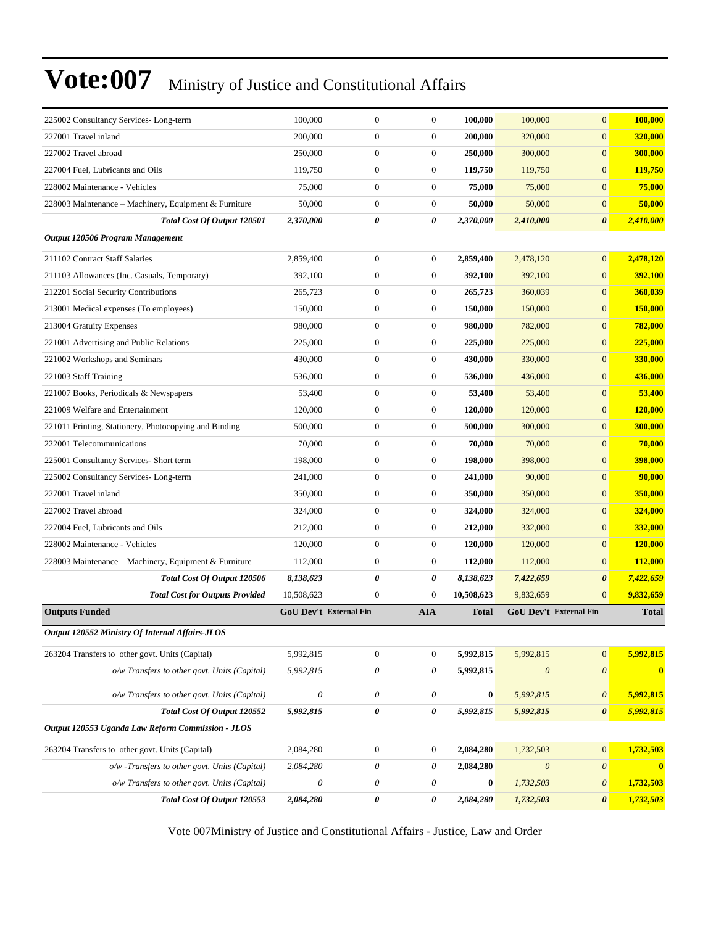| 225002 Consultancy Services-Long-term                 | 100,000    | $\boldsymbol{0}$              | $\boldsymbol{0}$      | 100,000    | 100,000                       | $\overline{0}$            | 100,000        |
|-------------------------------------------------------|------------|-------------------------------|-----------------------|------------|-------------------------------|---------------------------|----------------|
| 227001 Travel inland                                  | 200,000    | $\boldsymbol{0}$              | $\mathbf{0}$          | 200,000    | 320,000                       | $\boldsymbol{0}$          | 320,000        |
| 227002 Travel abroad                                  | 250,000    | $\boldsymbol{0}$              | $\mathbf{0}$          | 250,000    | 300,000                       | $\boldsymbol{0}$          | 300,000        |
| 227004 Fuel, Lubricants and Oils                      | 119,750    | $\boldsymbol{0}$              | $\boldsymbol{0}$      | 119,750    | 119,750                       | $\boldsymbol{0}$          | 119,750        |
| 228002 Maintenance - Vehicles                         | 75,000     | $\boldsymbol{0}$              | $\boldsymbol{0}$      | 75,000     | 75,000                        | $\boldsymbol{0}$          | 75,000         |
| 228003 Maintenance - Machinery, Equipment & Furniture | 50,000     | $\boldsymbol{0}$              | $\mathbf{0}$          | 50,000     | 50,000                        | $\boldsymbol{0}$          | 50,000         |
| Total Cost Of Output 120501                           | 2,370,000  | 0                             | 0                     | 2,370,000  | 2,410,000                     | $\boldsymbol{\theta}$     | 2,410,000      |
| Output 120506 Program Management                      |            |                               |                       |            |                               |                           |                |
| 211102 Contract Staff Salaries                        | 2,859,400  | $\boldsymbol{0}$              | $\mathbf{0}$          | 2,859,400  | 2,478,120                     | $\overline{0}$            | 2,478,120      |
| 211103 Allowances (Inc. Casuals, Temporary)           | 392,100    | $\boldsymbol{0}$              | $\boldsymbol{0}$      | 392,100    | 392,100                       | $\boldsymbol{0}$          | 392,100        |
| 212201 Social Security Contributions                  | 265,723    | $\boldsymbol{0}$              | $\boldsymbol{0}$      | 265,723    | 360,039                       | $\boldsymbol{0}$          | 360,039        |
| 213001 Medical expenses (To employees)                | 150,000    | $\boldsymbol{0}$              | $\boldsymbol{0}$      | 150,000    | 150,000                       | $\boldsymbol{0}$          | 150,000        |
| 213004 Gratuity Expenses                              | 980,000    | $\boldsymbol{0}$              | $\mathbf{0}$          | 980,000    | 782,000                       | $\boldsymbol{0}$          | 782,000        |
| 221001 Advertising and Public Relations               | 225,000    | $\boldsymbol{0}$              | $\mathbf{0}$          | 225,000    | 225,000                       | $\boldsymbol{0}$          | 225,000        |
| 221002 Workshops and Seminars                         | 430,000    | $\boldsymbol{0}$              | $\boldsymbol{0}$      | 430,000    | 330,000                       | $\boldsymbol{0}$          | 330,000        |
| 221003 Staff Training                                 | 536,000    | $\boldsymbol{0}$              | $\boldsymbol{0}$      | 536,000    | 436,000                       | $\boldsymbol{0}$          | 436,000        |
| 221007 Books, Periodicals & Newspapers                | 53,400     | $\boldsymbol{0}$              | $\boldsymbol{0}$      | 53,400     | 53,400                        | $\boldsymbol{0}$          | 53,400         |
| 221009 Welfare and Entertainment                      | 120,000    | $\boldsymbol{0}$              | $\boldsymbol{0}$      | 120,000    | 120,000                       | $\boldsymbol{0}$          | 120,000        |
| 221011 Printing, Stationery, Photocopying and Binding | 500,000    | $\boldsymbol{0}$              | $\mathbf{0}$          | 500,000    | 300,000                       | $\boldsymbol{0}$          | 300,000        |
| 222001 Telecommunications                             | 70,000     | $\boldsymbol{0}$              | $\boldsymbol{0}$      | 70,000     | 70,000                        | $\boldsymbol{0}$          | 70,000         |
| 225001 Consultancy Services- Short term               | 198,000    | $\boldsymbol{0}$              | $\boldsymbol{0}$      | 198,000    | 398,000                       | $\boldsymbol{0}$          | 398,000        |
| 225002 Consultancy Services-Long-term                 | 241,000    | $\boldsymbol{0}$              | $\boldsymbol{0}$      | 241,000    | 90,000                        | $\boldsymbol{0}$          | 90,000         |
| 227001 Travel inland                                  | 350,000    | $\boldsymbol{0}$              | $\boldsymbol{0}$      | 350,000    | 350,000                       | $\boldsymbol{0}$          | 350,000        |
| 227002 Travel abroad                                  | 324,000    | $\boldsymbol{0}$              | $\mathbf{0}$          | 324,000    | 324,000                       | $\boldsymbol{0}$          | 324,000        |
| 227004 Fuel, Lubricants and Oils                      | 212,000    | $\boldsymbol{0}$              | $\boldsymbol{0}$      | 212,000    | 332,000                       | $\boldsymbol{0}$          | 332,000        |
| 228002 Maintenance - Vehicles                         | 120,000    | $\boldsymbol{0}$              | $\boldsymbol{0}$      | 120,000    | 120,000                       | $\boldsymbol{0}$          | <b>120,000</b> |
| 228003 Maintenance - Machinery, Equipment & Furniture | 112,000    | $\boldsymbol{0}$              | $\boldsymbol{0}$      | 112,000    | 112,000                       | $\boldsymbol{0}$          | 112,000        |
| Total Cost Of Output 120506                           | 8,138,623  | 0                             | 0                     | 8,138,623  | 7,422,659                     | $\boldsymbol{\theta}$     | 7,422,659      |
| <b>Total Cost for Outputs Provided</b>                | 10,508,623 | $\boldsymbol{0}$              | $\overline{0}$        | 10,508,623 | 9,832,659                     | $\overline{0}$            | 9,832,659      |
| <b>Outputs Funded</b>                                 |            | <b>GoU Dev't External Fin</b> | <b>AIA</b>            | Total      | <b>GoU Dev't External Fin</b> |                           | <b>Total</b>   |
| Output 120552 Ministry Of Internal Affairs-JLOS       |            |                               |                       |            |                               |                           |                |
| 263204 Transfers to other govt. Units (Capital)       | 5,992,815  | $\boldsymbol{0}$              | $\boldsymbol{0}$      | 5,992,815  | 5,992,815                     | $\boldsymbol{0}$          | 5,992,815      |
| o/w Transfers to other govt. Units (Capital)          | 5,992,815  | $\boldsymbol{\mathit{0}}$     | $\theta$              | 5,992,815  | $\boldsymbol{\theta}$         | $\boldsymbol{\mathit{0}}$ | $\bf{0}$       |
| o/w Transfers to other govt. Units (Capital)          | 0          | $\theta$                      | $\boldsymbol{\theta}$ | $\bf{0}$   | 5,992,815                     | $\boldsymbol{\mathit{0}}$ | 5,992,815      |
| Total Cost Of Output 120552                           | 5,992,815  | 0                             | 0                     | 5,992,815  | 5,992,815                     | 0                         | 5,992,815      |
| Output 120553 Uganda Law Reform Commission - JLOS     |            |                               |                       |            |                               |                           |                |
| 263204 Transfers to other govt. Units (Capital)       | 2,084,280  | $\boldsymbol{0}$              | $\boldsymbol{0}$      | 2,084,280  | 1,732,503                     | $\boldsymbol{0}$          | 1,732,503      |
| o/w -Transfers to other govt. Units (Capital)         | 2,084,280  | $\boldsymbol{\mathit{0}}$     | $\theta$              | 2,084,280  | $\boldsymbol{0}$              | $\boldsymbol{\theta}$     | $\bf{0}$       |
| o/w Transfers to other govt. Units (Capital)          | $\theta$   | $\boldsymbol{\mathit{0}}$     | $\theta$              | $\bf{0}$   | 1,732,503                     | $\boldsymbol{\mathit{0}}$ | 1,732,503      |
| Total Cost Of Output 120553                           | 2,084,280  | 0                             | 0                     | 2,084,280  | 1,732,503                     | $\boldsymbol{\theta}$     | 1,732,503      |
|                                                       |            |                               |                       |            |                               |                           |                |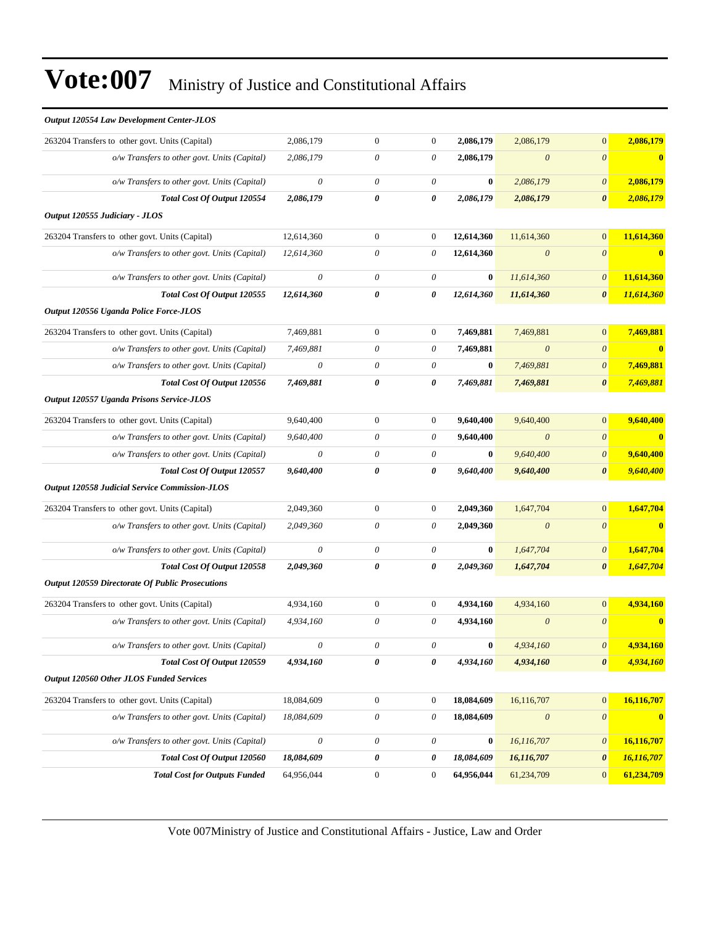| Output 120554 Law Development Center-JLOS                               |                           |                           |                                |            |                       |                           |            |
|-------------------------------------------------------------------------|---------------------------|---------------------------|--------------------------------|------------|-----------------------|---------------------------|------------|
| 263204 Transfers to other govt. Units (Capital)                         | 2,086,179                 | $\boldsymbol{0}$          | $\mathbf{0}$                   | 2,086,179  | 2,086,179             | $\mathbf{0}$              | 2,086,179  |
| o/w Transfers to other govt. Units (Capital)                            | 2,086,179                 | $\boldsymbol{\theta}$     | 0                              | 2,086,179  | $\boldsymbol{\theta}$ | $\boldsymbol{\theta}$     | $\bf{0}$   |
| o/w Transfers to other govt. Units (Capital)                            | $\theta$                  | $\boldsymbol{\theta}$     | 0                              | $\bf{0}$   | 2,086,179             | $\boldsymbol{\theta}$     | 2,086,179  |
| Total Cost Of Output 120554                                             | 2,086,179                 | 0                         | 0                              | 2,086,179  | 2,086,179             | $\boldsymbol{\theta}$     | 2,086,179  |
| Output 120555 Judiciary - JLOS                                          |                           |                           |                                |            |                       |                           |            |
| 263204 Transfers to other govt. Units (Capital)                         | 12,614,360                | $\boldsymbol{0}$          | $\overline{0}$                 | 12,614,360 | 11,614,360            | $\mathbf{0}$              | 11,614,360 |
| o/w Transfers to other govt. Units (Capital)                            | 12,614,360                | $\boldsymbol{\theta}$     | 0                              | 12,614,360 | $\boldsymbol{\theta}$ | $\boldsymbol{\theta}$     | $\bf{0}$   |
| o/w Transfers to other govt. Units (Capital)                            | $\boldsymbol{\theta}$     | 0                         | $\theta$                       | $\bf{0}$   | 11,614,360            | $\boldsymbol{\theta}$     | 11,614,360 |
| Total Cost Of Output 120555                                             | 12,614,360                | 0                         | 0                              | 12,614,360 | 11,614,360            | $\boldsymbol{\theta}$     | 11,614,360 |
| Output 120556 Uganda Police Force-JLOS                                  |                           |                           |                                |            |                       |                           |            |
| 263204 Transfers to other govt. Units (Capital)                         | 7,469,881                 | $\boldsymbol{0}$          | $\mathbf{0}$                   | 7,469,881  | 7,469,881             | $\mathbf{0}$              | 7,469,881  |
| o/w Transfers to other govt. Units (Capital)                            | 7,469,881                 | $\boldsymbol{\theta}$     | $\theta$                       | 7,469,881  | $\theta$              | $\boldsymbol{\theta}$     | $\bf{0}$   |
| o/w Transfers to other govt. Units (Capital)                            | $\boldsymbol{\theta}$     | $\theta$                  | $\theta$                       | 0          | 7,469,881             | $\boldsymbol{\theta}$     | 7,469,881  |
| Total Cost Of Output 120556                                             | 7,469,881                 | 0                         | 0                              | 7,469,881  | 7,469,881             | $\boldsymbol{\theta}$     | 7,469,881  |
| Output 120557 Uganda Prisons Service-JLOS                               |                           |                           |                                |            |                       |                           |            |
| 263204 Transfers to other govt. Units (Capital)                         | 9,640,400                 | $\boldsymbol{0}$          | $\mathbf{0}$                   | 9,640,400  | 9,640,400             | $\mathbf{0}$              | 9,640,400  |
| o/w Transfers to other govt. Units (Capital)                            | 9,640,400                 | $\boldsymbol{\mathit{0}}$ | 0                              | 9,640,400  | $\boldsymbol{\theta}$ | $\boldsymbol{\theta}$     | $\bf{0}$   |
| o/w Transfers to other govt. Units (Capital)                            | $\boldsymbol{\theta}$     | $\theta$                  | $\theta$                       | $\bf{0}$   | 9,640,400             | $\boldsymbol{\theta}$     | 9,640,400  |
| Total Cost Of Output 120557                                             | 9,640,400                 | 0                         | 0                              | 9,640,400  | 9,640,400             | $\theta$                  | 9,640,400  |
| Output 120558 Judicial Service Commission-JLOS                          |                           |                           |                                |            |                       |                           |            |
| 263204 Transfers to other govt. Units (Capital)                         | 2,049,360                 | $\boldsymbol{0}$          | $\overline{0}$                 | 2,049,360  | 1,647,704             | $\mathbf{0}$              | 1,647,704  |
| o/w Transfers to other govt. Units (Capital)                            | 2,049,360                 | $\boldsymbol{\theta}$     | $\theta$                       | 2,049,360  | $\theta$              | $\boldsymbol{\theta}$     | $\bf{0}$   |
| o/w Transfers to other govt. Units (Capital)                            | $\boldsymbol{\theta}$     | 0                         | 0                              | $\bf{0}$   | 1,647,704             | $\boldsymbol{\theta}$     | 1,647,704  |
| Total Cost Of Output 120558                                             | 2,049,360                 | 0                         | 0                              | 2,049,360  | 1,647,704             | $\boldsymbol{\theta}$     | 1,647,704  |
| <b>Output 120559 Directorate Of Public Prosecutions</b>                 |                           |                           |                                |            |                       |                           |            |
| 263204 Transfers to other govt. Units (Capital)                         | 4,934,160                 | $\boldsymbol{0}$          | $\boldsymbol{0}$               | 4,934,160  | 4,934,160             | $\mathbf{0}$              | 4,934,160  |
| o/w Transfers to other govt. Units (Capital)                            | 4,934,160                 | $\boldsymbol{\theta}$     | 0                              | 4,934,160  | $\theta$              | $\boldsymbol{\theta}$     | $\bf{0}$   |
|                                                                         |                           |                           |                                |            |                       |                           |            |
| o/w Transfers to other govt. Units (Capital)                            | $\boldsymbol{\mathit{0}}$ | $\boldsymbol{\mathit{0}}$ | $\boldsymbol{\mathit{0}}$<br>0 | $\bf{0}$   | 4,934,160             | $\boldsymbol{\theta}$     | 4,934,160  |
| Total Cost Of Output 120559<br>Output 120560 Other JLOS Funded Services | 4,934,160                 | 0                         |                                | 4,934,160  | 4,934,160             | $\pmb{\theta}$            | 4,934,160  |
|                                                                         |                           |                           |                                |            |                       |                           |            |
| 263204 Transfers to other govt. Units (Capital)                         | 18,084,609                | $\boldsymbol{0}$          | $\boldsymbol{0}$               | 18,084,609 | 16,116,707            | $\boldsymbol{0}$          | 16,116,707 |
| o/w Transfers to other govt. Units (Capital)                            | 18,084,609                | $\boldsymbol{\mathit{0}}$ | $\theta$                       | 18,084,609 | $\boldsymbol{\theta}$ | $\boldsymbol{\mathit{0}}$ | $\bf{0}$   |
| o/w Transfers to other govt. Units (Capital)                            | $\boldsymbol{\mathit{0}}$ | 0                         | $\theta$                       | $\bf{0}$   | 16,116,707            | $\boldsymbol{\theta}$     | 16,116,707 |
| Total Cost Of Output 120560                                             | 18,084,609                | 0                         | 0                              | 18,084,609 | 16,116,707            | $\boldsymbol{\theta}$     | 16,116,707 |
| <b>Total Cost for Outputs Funded</b>                                    | 64,956,044                | $\boldsymbol{0}$          | $\boldsymbol{0}$               | 64,956,044 | 61,234,709            | $\mathbf{0}$              | 61,234,709 |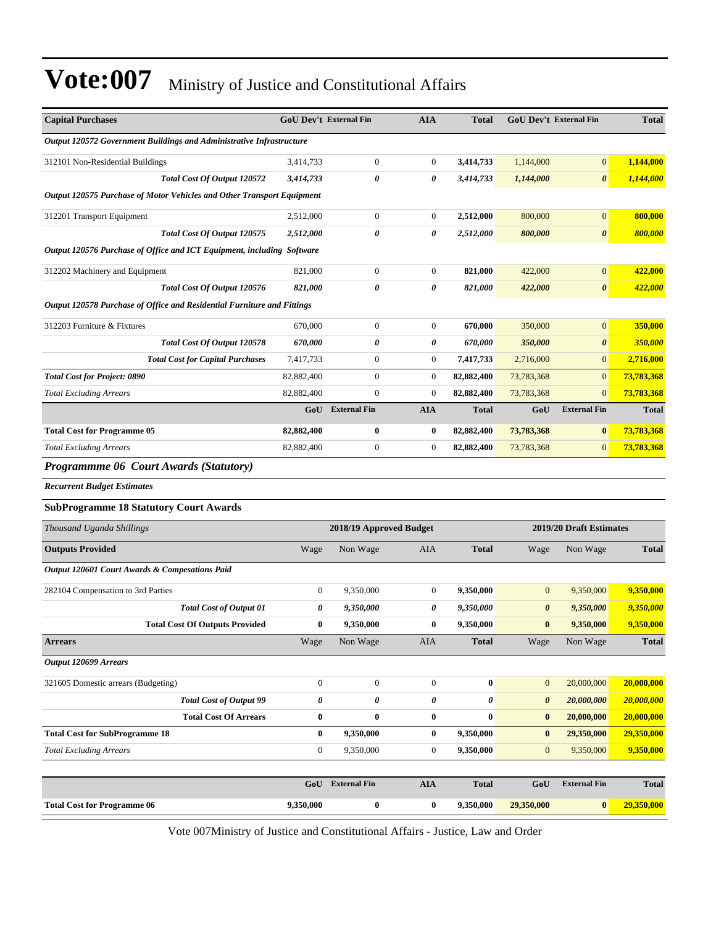| <b>Capital Purchases</b>                                                | <b>GoU Dev't External Fin</b> |                         | <b>AIA</b>       | <b>Total</b>     |                  | <b>GoU Dev't External Fin</b> | <b>Total</b> |
|-------------------------------------------------------------------------|-------------------------------|-------------------------|------------------|------------------|------------------|-------------------------------|--------------|
| Output 120572 Government Buildings and Administrative Infrastructure    |                               |                         |                  |                  |                  |                               |              |
| 312101 Non-Residential Buildings                                        | 3,414,733                     | $\boldsymbol{0}$        | $\mathbf{0}$     | 3,414,733        | 1,144,000        | $\mathbf{0}$                  | 1,144,000    |
| Total Cost Of Output 120572                                             | 3,414,733                     | 0                       | 0                | 3,414,733        | 1,144,000        | $\boldsymbol{\theta}$         | 1,144,000    |
| Output 120575 Purchase of Motor Vehicles and Other Transport Equipment  |                               |                         |                  |                  |                  |                               |              |
| 312201 Transport Equipment                                              | 2,512,000                     | $\boldsymbol{0}$        | $\mathbf{0}$     | 2,512,000        | 800,000          | $\mathbf{0}$                  | 800,000      |
| Total Cost Of Output 120575                                             | 2,512,000                     | 0                       | 0                | 2,512,000        | 800,000          | $\boldsymbol{\theta}$         | 800,000      |
| Output 120576 Purchase of Office and ICT Equipment, including Software  |                               |                         |                  |                  |                  |                               |              |
| 312202 Machinery and Equipment                                          | 821,000                       | $\bf{0}$                | $\boldsymbol{0}$ | 821,000          | 422,000          | $\mathbf{0}$                  | 422,000      |
| Total Cost Of Output 120576                                             | 821,000                       | 0                       | 0                | 821,000          | 422,000          | $\boldsymbol{\theta}$         | 422,000      |
| Output 120578 Purchase of Office and Residential Furniture and Fittings |                               |                         |                  |                  |                  |                               |              |
| 312203 Furniture & Fixtures                                             | 670,000                       | $\boldsymbol{0}$        | $\boldsymbol{0}$ | 670,000          | 350,000          | $\mathbf{0}$                  | 350,000      |
| Total Cost Of Output 120578                                             | 670,000                       | $\boldsymbol{\theta}$   | 0                | 670,000          | 350,000          | $\boldsymbol{\theta}$         | 350,000      |
| <b>Total Cost for Capital Purchases</b>                                 | 7,417,733                     | $\boldsymbol{0}$        | $\boldsymbol{0}$ | 7,417,733        | 2,716,000        | $\mathbf{0}$                  | 2,716,000    |
| <b>Total Cost for Project: 0890</b>                                     | 82,882,400                    | $\boldsymbol{0}$        | $\boldsymbol{0}$ | 82,882,400       | 73,783,368       | $\mathbf{0}$                  | 73,783,368   |
| <b>Total Excluding Arrears</b>                                          | 82,882,400                    | $\boldsymbol{0}$        | $\boldsymbol{0}$ | 82,882,400       | 73,783,368       | $\mathbf{0}$                  | 73,783,368   |
|                                                                         | GoU                           | <b>External Fin</b>     | <b>AIA</b>       | <b>Total</b>     | GoU              | <b>External Fin</b>           | <b>Total</b> |
| <b>Total Cost for Programme 05</b>                                      | 82,882,400                    | $\bf{0}$                | $\bf{0}$         | 82,882,400       | 73,783,368       | $\bf{0}$                      | 73,783,368   |
| <b>Total Excluding Arrears</b>                                          | 82,882,400                    | $\boldsymbol{0}$        | $\boldsymbol{0}$ | 82,882,400       | 73,783,368       | $\mathbf{0}$                  | 73,783,368   |
| Programmme 06 Court Awards (Statutory)                                  |                               |                         |                  |                  |                  |                               |              |
| <b>Recurrent Budget Estimates</b>                                       |                               |                         |                  |                  |                  |                               |              |
| <b>SubProgramme 18 Statutory Court Awards</b>                           |                               |                         |                  |                  |                  |                               |              |
| Thousand Uganda Shillings                                               |                               | 2018/19 Approved Budget |                  |                  |                  | 2019/20 Draft Estimates       |              |
| <b>Outputs Provided</b>                                                 | Wage                          | Non Wage                | AIA              | <b>Total</b>     | Wage             | Non Wage                      | <b>Total</b> |
| Output 120601 Court Awards & Compesations Paid                          |                               |                         |                  |                  |                  |                               |              |
| 282104 Compensation to 3rd Parties                                      | $\boldsymbol{0}$              | 9,350,000               | $\mathbf{0}$     | 9,350,000        | $\mathbf{0}$     | 9,350,000                     | 9,350,000    |
| <b>Total Cost of Output 01</b>                                          | 0                             | 9,350,000               | 0                | 9,350,000        | 0                | 9,350,000                     | 9,350,000    |
| <b>Total Cost Of Outputs Provided</b>                                   | $\bf{0}$                      | 9,350,000               | $\bf{0}$         | 9,350,000        | $\bf{0}$         | 9,350,000                     | 9,350,000    |
| <b>Arrears</b>                                                          | Wage                          | Non Wage                | AIA              | <b>Total</b>     | Wage             | Non Wage                      | <b>Total</b> |
| Output 120699 Arrears                                                   |                               |                         |                  |                  |                  |                               |              |
| 321605 Domestic arrears (Budgeting)                                     | $\boldsymbol{0}$              | $\boldsymbol{0}$        | $\boldsymbol{0}$ | $\bf{0}$         | $\mathbf{0}$     | 20,000,000                    | 20,000,000   |
| <b>Total Cost of Output 99</b>                                          | $\pmb{\theta}$                | $\boldsymbol{\theta}$   | $\pmb{\theta}$   | 0                | 0                | 20,000,000                    | 20,000,000   |
| <b>Total Cost Of Arrears</b>                                            | $\boldsymbol{0}$              | $\bf{0}$                | $\bf{0}$         | $\boldsymbol{0}$ | $\boldsymbol{0}$ | 20,000,000                    | 20,000,000   |
| <b>Total Cost for SubProgramme 18</b>                                   | $\boldsymbol{0}$              | 9,350,000               | $\bf{0}$         | 9,350,000        | $\bf{0}$         | 29,350,000                    | 29,350,000   |
| <b>Total Excluding Arrears</b>                                          | $\boldsymbol{0}$              | 9,350,000               | $\mathbf{0}$     | 9,350,000        | $\mathbf{0}$     | 9,350,000                     | 9,350,000    |
|                                                                         |                               |                         |                  |                  |                  |                               |              |
|                                                                         | GoU                           | <b>External Fin</b>     | <b>AIA</b>       | <b>Total</b>     | GoU              | <b>External Fin</b>           | <b>Total</b> |
| <b>Total Cost for Programme 06</b>                                      | 9,350,000                     | $\bf{0}$                | $\bf{0}$         | 9,350,000        | 29,350,000       | $\pmb{0}$                     | 29,350,000   |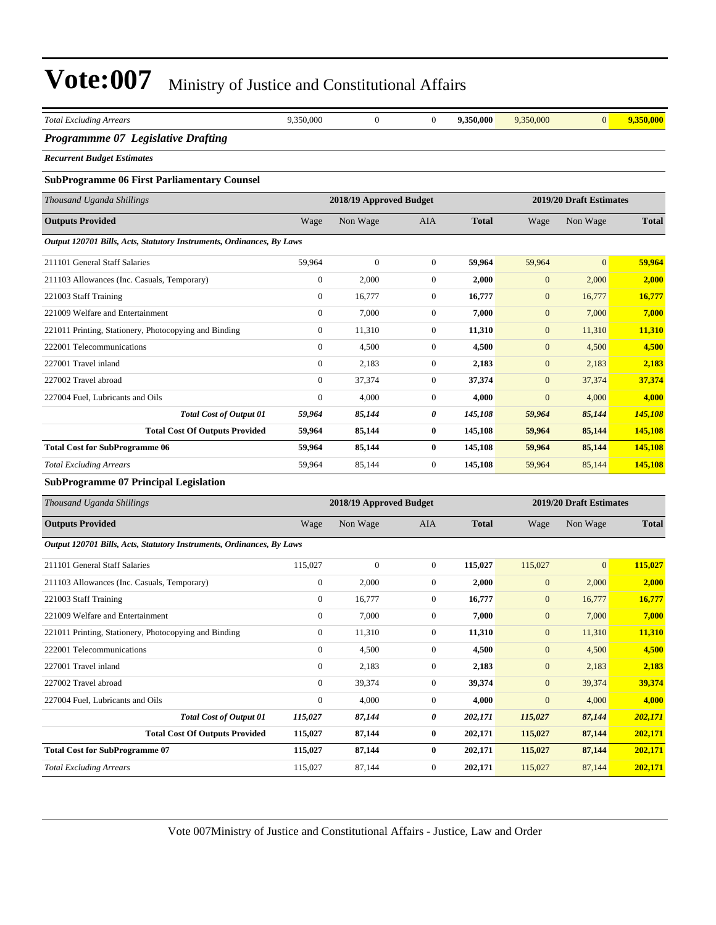| <b>Total Excluding Arrears</b>                                        | 9,350,000        | $\boldsymbol{0}$        | $\mathbf{0}$     | 9,350,000    | 9,350,000        | $\mathbf{0}$            | 9,350,000    |  |
|-----------------------------------------------------------------------|------------------|-------------------------|------------------|--------------|------------------|-------------------------|--------------|--|
| Programmme 07 Legislative Drafting                                    |                  |                         |                  |              |                  |                         |              |  |
| <b>Recurrent Budget Estimates</b>                                     |                  |                         |                  |              |                  |                         |              |  |
| <b>SubProgramme 06 First Parliamentary Counsel</b>                    |                  |                         |                  |              |                  |                         |              |  |
| Thousand Uganda Shillings                                             |                  | 2018/19 Approved Budget |                  |              |                  | 2019/20 Draft Estimates |              |  |
| <b>Outputs Provided</b>                                               | Wage             | Non Wage                | AIA              | <b>Total</b> | Wage             | Non Wage                | <b>Total</b> |  |
|                                                                       |                  |                         |                  |              |                  |                         |              |  |
| Output 120701 Bills, Acts, Statutory Instruments, Ordinances, By Laws |                  |                         |                  |              |                  |                         |              |  |
| 211101 General Staff Salaries                                         | 59,964           | $\boldsymbol{0}$        | $\boldsymbol{0}$ | 59,964       | 59,964           | $\mathbf{0}$            | 59,964       |  |
| 211103 Allowances (Inc. Casuals, Temporary)                           | $\mathbf{0}$     | 2,000                   | $\boldsymbol{0}$ | 2,000        | $\mathbf{0}$     | 2,000                   | 2,000        |  |
| 221003 Staff Training                                                 | $\boldsymbol{0}$ | 16,777                  | 0                | 16,777       | $\mathbf{0}$     | 16,777                  | 16,777       |  |
| 221009 Welfare and Entertainment                                      | $\mathbf{0}$     | 7,000                   | $\boldsymbol{0}$ | 7,000        | $\mathbf{0}$     | 7,000                   | 7,000        |  |
| 221011 Printing, Stationery, Photocopying and Binding                 | $\mathbf{0}$     | 11,310                  | $\boldsymbol{0}$ | 11,310       | $\mathbf{0}$     | 11,310                  | 11,310       |  |
| 222001 Telecommunications                                             | $\boldsymbol{0}$ | 4,500                   | $\boldsymbol{0}$ | 4,500        | $\mathbf{0}$     | 4,500                   | 4,500        |  |
| 227001 Travel inland                                                  | $\mathbf{0}$     | 2,183                   | $\boldsymbol{0}$ | 2,183        | $\mathbf{0}$     | 2,183                   | 2,183        |  |
| 227002 Travel abroad                                                  | $\mathbf{0}$     | 37,374                  | 0                | 37,374       | $\mathbf{0}$     | 37,374                  | 37,374       |  |
| 227004 Fuel. Lubricants and Oils                                      | $\mathbf{0}$     | 4,000                   | $\boldsymbol{0}$ | 4,000        | $\mathbf{0}$     | 4,000                   | 4,000        |  |
| <b>Total Cost of Output 01</b>                                        | 59,964           | 85,144                  | 0                | 145,108      | 59,964           | 85,144                  | 145,108      |  |
| <b>Total Cost Of Outputs Provided</b>                                 | 59,964           | 85,144                  | 0                | 145,108      | 59,964           | 85,144                  | 145,108      |  |
| <b>Total Cost for SubProgramme 06</b>                                 | 59,964           | 85,144                  | $\bf{0}$         | 145,108      | 59,964           | 85,144                  | 145,108      |  |
| <b>Total Excluding Arrears</b>                                        | 59,964           | 85,144                  | 0                | 145,108      | 59,964           | 85,144                  | 145,108      |  |
| <b>SubProgramme 07 Principal Legislation</b>                          |                  |                         |                  |              |                  |                         |              |  |
| Thousand Uganda Shillings                                             |                  | 2018/19 Approved Budget |                  |              |                  | 2019/20 Draft Estimates |              |  |
| <b>Outputs Provided</b>                                               | Wage             | Non Wage                | AIA              | <b>Total</b> | Wage             | Non Wage                | <b>Total</b> |  |
| Output 120701 Bills, Acts, Statutory Instruments, Ordinances, By Laws |                  |                         |                  |              |                  |                         |              |  |
| 211101 General Staff Salaries                                         | 115,027          | $\mathbf{0}$            | $\boldsymbol{0}$ | 115,027      | 115,027          | $\mathbf{0}$            | 115,027      |  |
| 211103 Allowances (Inc. Casuals, Temporary)                           | $\mathbf{0}$     | 2,000                   | $\boldsymbol{0}$ | 2,000        | $\mathbf{0}$     | 2,000                   | 2,000        |  |
| 221003 Staff Training                                                 | $\boldsymbol{0}$ | 16,777                  | $\boldsymbol{0}$ | 16,777       | $\mathbf{0}$     | 16,777                  | 16,777       |  |
| 221009 Welfare and Entertainment                                      | $\boldsymbol{0}$ | 7,000                   | $\boldsymbol{0}$ | 7,000        | $\mathbf{0}$     | 7,000                   | 7,000        |  |
| 221011 Printing, Stationery, Photocopying and Binding                 | $\boldsymbol{0}$ | 11,310                  | $\boldsymbol{0}$ | 11,310       | $\boldsymbol{0}$ | 11,310                  | 11,310       |  |
| 222001 Telecommunications                                             | $\boldsymbol{0}$ | 4,500                   | $\overline{0}$   | 4,500        | $\boldsymbol{0}$ | 4,500                   | 4,500        |  |
| 227001 Travel inland                                                  | $\boldsymbol{0}$ | 2,183                   | $\boldsymbol{0}$ | 2,183        | $\mathbf{0}$     | 2,183                   | 2,183        |  |
| 227002 Travel abroad                                                  | $\boldsymbol{0}$ | 39,374                  | $\boldsymbol{0}$ | 39,374       | $\mathbf{0}$     | 39,374                  | 39,374       |  |
| 227004 Fuel, Lubricants and Oils                                      | $\boldsymbol{0}$ | 4,000                   | $\boldsymbol{0}$ | 4,000        | $\mathbf{0}$     | 4,000                   | 4,000        |  |
| <b>Total Cost of Output 01</b>                                        | 115,027          | 87,144                  | 0                | 202,171      | 115,027          | 87,144                  | 202,171      |  |
| <b>Total Cost Of Outputs Provided</b>                                 | 115,027          | 87,144                  | $\bf{0}$         | 202,171      | 115,027          | 87,144                  | 202,171      |  |
| <b>Total Cost for SubProgramme 07</b>                                 | 115,027          | 87,144                  | 0                | 202,171      | 115,027          | 87,144                  | 202,171      |  |
| <b>Total Excluding Arrears</b>                                        | 115,027          | 87,144                  | $\boldsymbol{0}$ | 202,171      | 115,027          | 87,144                  | 202,171      |  |
|                                                                       |                  |                         |                  |              |                  |                         |              |  |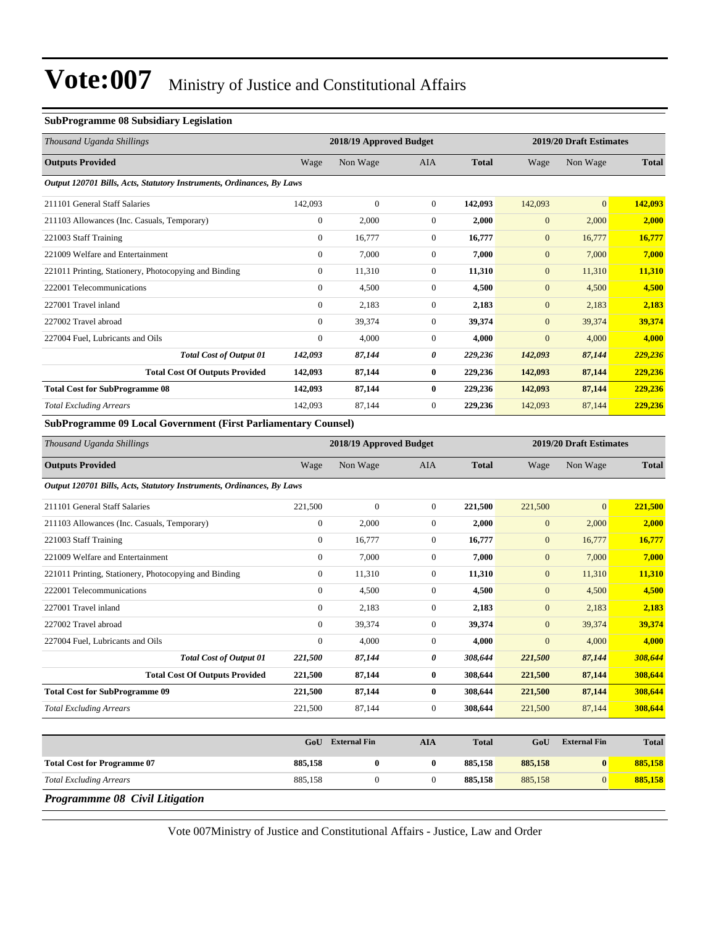#### **SubProgramme 08 Subsidiary Legislation**

| Thousand Uganda Shillings                                             |                | 2018/19 Approved Budget |                |              |              | 2019/20 Draft Estimates |              |  |
|-----------------------------------------------------------------------|----------------|-------------------------|----------------|--------------|--------------|-------------------------|--------------|--|
| <b>Outputs Provided</b>                                               | Wage           | Non Wage                | AIA            | <b>Total</b> | Wage         | Non Wage                | <b>Total</b> |  |
| Output 120701 Bills, Acts, Statutory Instruments, Ordinances, By Laws |                |                         |                |              |              |                         |              |  |
| 211101 General Staff Salaries                                         | 142,093        | $\mathbf{0}$            | $\overline{0}$ | 142,093      | 142,093      | $\overline{0}$          | 142,093      |  |
| 211103 Allowances (Inc. Casuals, Temporary)                           | $\overline{0}$ | 2,000                   | $\overline{0}$ | 2,000        | $\mathbf{0}$ | 2,000                   | 2,000        |  |
| 221003 Staff Training                                                 | $\overline{0}$ | 16,777                  | $\mathbf{0}$   | 16,777       | $\mathbf{0}$ | 16,777                  | 16,777       |  |
| 221009 Welfare and Entertainment                                      | $\overline{0}$ | 7,000                   | $\mathbf{0}$   | 7,000        | $\mathbf{0}$ | 7,000                   | 7,000        |  |
| 221011 Printing, Stationery, Photocopying and Binding                 | $\overline{0}$ | 11,310                  | $\mathbf{0}$   | 11,310       | $\mathbf{0}$ | 11,310                  | 11,310       |  |
| 222001 Telecommunications                                             | $\Omega$       | 4,500                   | $\overline{0}$ | 4,500        | $\mathbf{0}$ | 4,500                   | 4,500        |  |
| 227001 Travel inland                                                  | $\overline{0}$ | 2,183                   | $\mathbf{0}$   | 2,183        | $\mathbf{0}$ | 2,183                   | 2,183        |  |
| 227002 Travel abroad                                                  | $\overline{0}$ | 39,374                  | $\mathbf{0}$   | 39,374       | $\mathbf{0}$ | 39,374                  | 39,374       |  |
| 227004 Fuel, Lubricants and Oils                                      | $\mathbf{0}$   | 4,000                   | $\overline{0}$ | 4,000        | $\mathbf{0}$ | 4,000                   | 4,000        |  |
| <b>Total Cost of Output 01</b>                                        | 142,093        | 87,144                  | 0              | 229,236      | 142,093      | 87,144                  | 229,236      |  |
| <b>Total Cost Of Outputs Provided</b>                                 | 142,093        | 87,144                  | $\bf{0}$       | 229,236      | 142,093      | 87,144                  | 229,236      |  |
| <b>Total Cost for SubProgramme 08</b>                                 | 142,093        | 87,144                  | $\bf{0}$       | 229,236      | 142,093      | 87,144                  | 229,236      |  |
| <b>Total Excluding Arrears</b>                                        | 142,093        | 87,144                  | $\overline{0}$ | 229,236      | 142,093      | 87,144                  | 229,236      |  |

| <b>SubProgramme 09 Local Government (First Parliamentary Counsel)</b> |  |
|-----------------------------------------------------------------------|--|
|-----------------------------------------------------------------------|--|

| Thousand Uganda Shillings                                             |                | 2018/19 Approved Budget |                  |              |              | 2019/20 Draft Estimates |              |
|-----------------------------------------------------------------------|----------------|-------------------------|------------------|--------------|--------------|-------------------------|--------------|
| <b>Outputs Provided</b>                                               | Wage           | Non Wage                | <b>AIA</b>       | <b>Total</b> | Wage         | Non Wage                | <b>Total</b> |
| Output 120701 Bills, Acts, Statutory Instruments, Ordinances, By Laws |                |                         |                  |              |              |                         |              |
| 211101 General Staff Salaries                                         | 221,500        | $\mathbf{0}$            | $\overline{0}$   | 221,500      | 221,500      | $\overline{0}$          | 221,500      |
| 211103 Allowances (Inc. Casuals, Temporary)                           | $\overline{0}$ | 2,000                   | $\overline{0}$   | 2,000        | $\mathbf{0}$ | 2,000                   | 2,000        |
| 221003 Staff Training                                                 | $\mathbf{0}$   | 16,777                  | $\overline{0}$   | 16,777       | $\mathbf{0}$ | 16,777                  | 16,777       |
| 221009 Welfare and Entertainment                                      | $\overline{0}$ | 7,000                   | $\overline{0}$   | 7,000        | $\mathbf{0}$ | 7,000                   | 7,000        |
| 221011 Printing, Stationery, Photocopying and Binding                 | $\overline{0}$ | 11,310                  | $\boldsymbol{0}$ | 11,310       | $\mathbf{0}$ | 11,310                  | 11,310       |
| 222001 Telecommunications                                             | $\mathbf{0}$   | 4,500                   | $\overline{0}$   | 4,500        | $\mathbf{0}$ | 4,500                   | 4,500        |
| 227001 Travel inland                                                  | $\overline{0}$ | 2,183                   | $\overline{0}$   | 2,183        | $\mathbf{0}$ | 2,183                   | 2,183        |
| 227002 Travel abroad                                                  | $\Omega$       | 39,374                  | $\overline{0}$   | 39,374       | $\mathbf{0}$ | 39,374                  | 39,374       |
| 227004 Fuel, Lubricants and Oils                                      | $\mathbf{0}$   | 4,000                   | $\overline{0}$   | 4,000        | $\mathbf{0}$ | 4,000                   | 4,000        |
| <b>Total Cost of Output 01</b>                                        | 221,500        | 87,144                  | 0                | 308,644      | 221,500      | 87,144                  | 308,644      |
| <b>Total Cost Of Outputs Provided</b>                                 | 221,500        | 87,144                  | $\bf{0}$         | 308,644      | 221,500      | 87,144                  | 308,644      |
| <b>Total Cost for SubProgramme 09</b>                                 | 221,500        | 87,144                  | $\bf{0}$         | 308,644      | 221,500      | 87,144                  | 308,644      |
| <b>Total Excluding Arrears</b>                                        | 221,500        | 87,144                  | $\overline{0}$   | 308,644      | 221,500      | 87,144                  | 308,644      |
|                                                                       |                |                         |                  |              |              |                         |              |
|                                                                       | GoU            | <b>External Fin</b>     | <b>AIA</b>       | <b>Total</b> | GoU          | <b>External Fin</b>     | <b>Total</b> |
| <b>Total Cost for Programme 07</b>                                    | 885,158        | $\bf{0}$                | $\bf{0}$         | 885,158      | 885,158      | $\bf{0}$                | 885,158      |
| <b>Total Excluding Arrears</b>                                        | 885,158        | $\boldsymbol{0}$        | $\overline{0}$   | 885,158      | 885,158      | $\overline{0}$          | 885,158      |
| <b>Programmme 08 Civil Litigation</b>                                 |                |                         |                  |              |              |                         |              |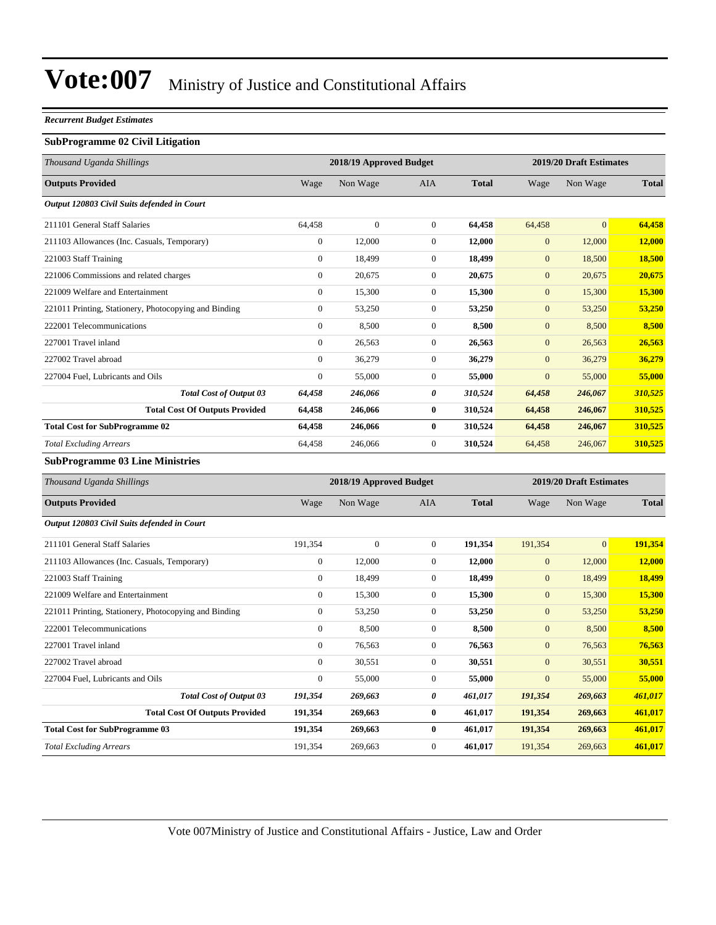#### *Recurrent Budget Estimates*

#### **SubProgramme 02 Civil Litigation**

| Thousand Uganda Shillings                             |                | 2018/19 Approved Budget |                |              |                | 2019/20 Draft Estimates |              |
|-------------------------------------------------------|----------------|-------------------------|----------------|--------------|----------------|-------------------------|--------------|
| <b>Outputs Provided</b>                               | Wage           | Non Wage                | <b>AIA</b>     | <b>Total</b> | Wage           | Non Wage                | <b>Total</b> |
| Output 120803 Civil Suits defended in Court           |                |                         |                |              |                |                         |              |
| 211101 General Staff Salaries                         | 64,458         | $\mathbf{0}$            | $\overline{0}$ | 64,458       | 64,458         | $\overline{0}$          | 64,458       |
| 211103 Allowances (Inc. Casuals, Temporary)           | $\overline{0}$ | 12,000                  | $\overline{0}$ | 12,000       | $\overline{0}$ | 12,000                  | 12,000       |
| 221003 Staff Training                                 | $\overline{0}$ | 18,499                  | $\overline{0}$ | 18,499       | $\overline{0}$ | 18,500                  | 18,500       |
| 221006 Commissions and related charges                | $\overline{0}$ | 20,675                  | $\overline{0}$ | 20,675       | $\overline{0}$ | 20,675                  | 20,675       |
| 221009 Welfare and Entertainment                      | $\overline{0}$ | 15,300                  | $\Omega$       | 15,300       | $\mathbf{0}$   | 15,300                  | 15,300       |
| 221011 Printing, Stationery, Photocopying and Binding | $\overline{0}$ | 53,250                  | $\overline{0}$ | 53,250       | $\overline{0}$ | 53,250                  | 53,250       |
| 222001 Telecommunications                             | $\overline{0}$ | 8,500                   | $\overline{0}$ | 8,500        | $\mathbf{0}$   | 8,500                   | 8,500        |
| 227001 Travel inland                                  | $\overline{0}$ | 26,563                  | $\overline{0}$ | 26,563       | $\overline{0}$ | 26,563                  | 26,563       |
| 227002 Travel abroad                                  | $\overline{0}$ | 36,279                  | $\overline{0}$ | 36,279       | $\mathbf{0}$   | 36,279                  | 36,279       |
| 227004 Fuel, Lubricants and Oils                      | $\overline{0}$ | 55,000                  | $\Omega$       | 55,000       | $\mathbf{0}$   | 55,000                  | 55,000       |
| <b>Total Cost of Output 03</b>                        | 64,458         | 246,066                 | 0              | 310,524      | 64,458         | 246,067                 | 310,525      |
| <b>Total Cost Of Outputs Provided</b>                 | 64,458         | 246,066                 | $\bf{0}$       | 310,524      | 64,458         | 246,067                 | 310,525      |
| <b>Total Cost for SubProgramme 02</b>                 | 64,458         | 246,066                 | $\bf{0}$       | 310,524      | 64,458         | 246,067                 | 310,525      |
| <b>Total Excluding Arrears</b>                        | 64,458         | 246,066                 | $\overline{0}$ | 310,524      | 64,458         | 246,067                 | 310,525      |
| <b>SubProgramme 03 Line Ministries</b>                |                |                         |                |              |                |                         |              |

*Thousand Uganda Shillings* **2018/19 Approved Budget 2019/20 Draft Estimates Outputs Provided** Wage Non Wage AIA **Total** Wage Non Wage **Total** *Output 120803 Civil Suits defended in Court* 211101 General Staff Salaries 191,354 0 0 **191,354** 191,354 0 **191,354** 211103 Allowances (Inc. Casuals, Temporary) 0 12,000 0 **12,000** 0 12,000 **12,000**

| 221003 Staff Training                                 | $\mathbf{0}$ | 18.499  | $\overline{0}$   | 18,499  | $\overline{0}$ | 18,499  | 18,499  |
|-------------------------------------------------------|--------------|---------|------------------|---------|----------------|---------|---------|
| 221009 Welfare and Entertainment                      | $\mathbf{0}$ | 15,300  | $\mathbf{0}$     | 15,300  | $\overline{0}$ | 15,300  | 15,300  |
| 221011 Printing, Stationery, Photocopying and Binding | $\mathbf{0}$ | 53,250  | $\overline{0}$   | 53,250  | $\overline{0}$ | 53,250  | 53,250  |
| 222001 Telecommunications                             | $\theta$     | 8,500   | $\boldsymbol{0}$ | 8,500   | $\overline{0}$ | 8,500   | 8,500   |
| 227001 Travel inland                                  | $\mathbf{0}$ | 76,563  | $\overline{0}$   | 76,563  | $\overline{0}$ | 76,563  | 76,563  |
| 227002 Travel abroad                                  | $\mathbf{0}$ | 30,551  | $\overline{0}$   | 30,551  | $\overline{0}$ | 30,551  | 30,551  |
| 227004 Fuel, Lubricants and Oils                      | $\mathbf{0}$ | 55,000  | $\overline{0}$   | 55,000  | $\overline{0}$ | 55,000  | 55,000  |
| <b>Total Cost of Output 03</b>                        | 191,354      | 269,663 | 0                | 461,017 | 191,354        | 269,663 | 461,017 |
| <b>Total Cost Of Outputs Provided</b>                 | 191,354      | 269,663 | $\bf{0}$         | 461,017 | 191,354        | 269,663 | 461,017 |
| <b>Total Cost for SubProgramme 03</b>                 | 191,354      | 269,663 | $\bf{0}$         | 461,017 | 191,354        | 269,663 | 461,017 |
| <b>Total Excluding Arrears</b>                        | 191.354      | 269,663 | $\mathbf{0}$     | 461.017 | 191.354        | 269,663 | 461,017 |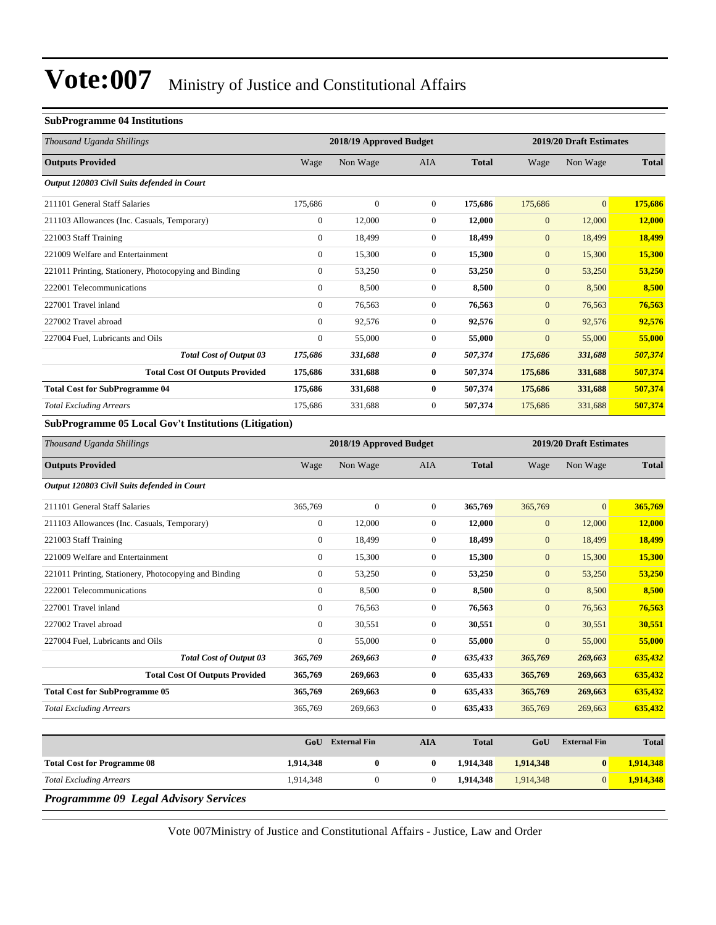#### **SubProgramme 04 Institutions**

| Thousand Uganda Shillings                                    |                  | 2018/19 Approved Budget |                  |              |                | 2019/20 Draft Estimates |              |  |
|--------------------------------------------------------------|------------------|-------------------------|------------------|--------------|----------------|-------------------------|--------------|--|
| <b>Outputs Provided</b>                                      | Wage             | Non Wage                | <b>AIA</b>       | <b>Total</b> | Wage           | Non Wage                | <b>Total</b> |  |
| Output 120803 Civil Suits defended in Court                  |                  |                         |                  |              |                |                         |              |  |
| 211101 General Staff Salaries                                | 175,686          | $\mathbf{0}$            | $\overline{0}$   | 175,686      | 175,686        | $\overline{0}$          | 175,686      |  |
| 211103 Allowances (Inc. Casuals, Temporary)                  | $\boldsymbol{0}$ | 12,000                  | $\overline{0}$   | 12,000       | $\mathbf{0}$   | 12,000                  | 12,000       |  |
| 221003 Staff Training                                        | $\mathbf{0}$     | 18,499                  | $\overline{0}$   | 18,499       | $\mathbf{0}$   | 18,499                  | 18,499       |  |
| 221009 Welfare and Entertainment                             | $\mathbf{0}$     | 15,300                  | $\overline{0}$   | 15,300       | $\mathbf{0}$   | 15,300                  | 15,300       |  |
| 221011 Printing, Stationery, Photocopying and Binding        | $\mathbf{0}$     | 53,250                  | $\mathbf{0}$     | 53,250       | $\mathbf{0}$   | 53,250                  | 53,250       |  |
| 222001 Telecommunications                                    | $\mathbf{0}$     | 8,500                   | $\overline{0}$   | 8,500        | $\mathbf{0}$   | 8,500                   | 8,500        |  |
| 227001 Travel inland                                         | $\mathbf{0}$     | 76,563                  | $\overline{0}$   | 76,563       | $\mathbf{0}$   | 76,563                  | 76,563       |  |
| 227002 Travel abroad                                         | $\mathbf{0}$     | 92,576                  | $\overline{0}$   | 92,576       | $\overline{0}$ | 92,576                  | 92,576       |  |
| 227004 Fuel, Lubricants and Oils                             | $\mathbf{0}$     | 55,000                  | $\overline{0}$   | 55,000       | $\mathbf{0}$   | 55,000                  | 55,000       |  |
| <b>Total Cost of Output 03</b>                               | 175,686          | 331,688                 | 0                | 507,374      | 175,686        | 331,688                 | 507,374      |  |
| <b>Total Cost Of Outputs Provided</b>                        | 175,686          | 331,688                 | $\bf{0}$         | 507,374      | 175,686        | 331,688                 | 507,374      |  |
| <b>Total Cost for SubProgramme 04</b>                        | 175,686          | 331,688                 | $\mathbf{0}$     | 507,374      | 175,686        | 331,688                 | 507,374      |  |
| <b>Total Excluding Arrears</b>                               | 175,686          | 331,688                 | $\mathbf{0}$     | 507,374      | 175,686        | 331,688                 | 507,374      |  |
| <b>SubProgramme 05 Local Gov't Institutions (Litigation)</b> |                  |                         |                  |              |                |                         |              |  |
| Thousand Uganda Shillings                                    |                  | 2018/19 Approved Budget |                  |              |                | 2019/20 Draft Estimates |              |  |
| <b>Outputs Provided</b>                                      | Wage             | Non Wage                | <b>AIA</b>       | <b>Total</b> | Wage           | Non Wage                | <b>Total</b> |  |
| Output 120803 Civil Suits defended in Court                  |                  |                         |                  |              |                |                         |              |  |
| 211101 General Staff Salaries                                | 365,769          | $\mathbf{0}$            | $\boldsymbol{0}$ | 365,769      | 365,769        | $\mathbf{0}$            | 365,769      |  |
| 211103 Allowances (Inc. Casuals, Temporary)                  | $\boldsymbol{0}$ | 12,000                  | $\mathbf{0}$     | 12,000       | $\mathbf{0}$   | 12,000                  | 12,000       |  |
| 221003 Staff Training                                        | $\Omega$         | 18,499                  | $\Omega$         | 18.499       | $\mathbf{0}$   | 18,499                  | 18,499       |  |

| 221003 Staff Training                                 | $\overline{0}$ | 18,499  | $\theta$     | 18,499  | $\mathbf{0}$   | 18,499  | 18,499  |
|-------------------------------------------------------|----------------|---------|--------------|---------|----------------|---------|---------|
| 221009 Welfare and Entertainment                      | $\mathbf{0}$   | 15,300  | $\mathbf{0}$ | 15,300  | $\mathbf{0}$   | 15,300  | 15,300  |
| 221011 Printing, Stationery, Photocopying and Binding | $\overline{0}$ | 53,250  | $\mathbf{0}$ | 53,250  | $\mathbf{0}$   | 53,250  | 53,250  |
| 222001 Telecommunications                             | $\mathbf{0}$   | 8,500   | $\theta$     | 8,500   | $\mathbf{0}$   | 8,500   | 8,500   |
| 227001 Travel inland                                  | $\mathbf{0}$   | 76,563  | $\theta$     | 76,563  | $\mathbf{0}$   | 76,563  | 76,563  |
| 227002 Travel abroad                                  | $\mathbf{0}$   | 30,551  | $\theta$     | 30,551  | $\mathbf{0}$   | 30,551  | 30,551  |
| 227004 Fuel. Lubricants and Oils                      | $\overline{0}$ | 55,000  | $\theta$     | 55,000  | $\overline{0}$ | 55,000  | 55,000  |
| <b>Total Cost of Output 03</b>                        | 365,769        | 269,663 | 0            | 635,433 | 365,769        | 269,663 | 635,432 |
| <b>Total Cost Of Outputs Provided</b>                 | 365,769        | 269,663 | $\bf{0}$     | 635,433 | 365,769        | 269,663 | 635,432 |
| <b>Total Cost for SubProgramme 05</b>                 | 365,769        | 269,663 | $\bf{0}$     | 635,433 | 365,769        | 269,663 | 635,432 |
| <b>Total Excluding Arrears</b>                        | 365,769        | 269,663 | $\theta$     | 635,433 | 365,769        | 269,663 | 635,432 |

|                                              | GoU       | <b>External Fin</b> | AIA | <b>Total</b> | GoU       | <b>External Fin</b> | <b>Total</b> |
|----------------------------------------------|-----------|---------------------|-----|--------------|-----------|---------------------|--------------|
| <b>Total Cost for Programme 08</b>           | 1,914,348 | 0                   |     | 1.914.348    | 1.914.348 | $\bf{0}$            | 1.914.348    |
| <b>Total Excluding Arrears</b>               | 1.914.348 |                     |     | 1.914.348    | 1.914.348 | 0                   | 1.914.348    |
| <b>Programmme 09 Legal Advisory Services</b> |           |                     |     |              |           |                     |              |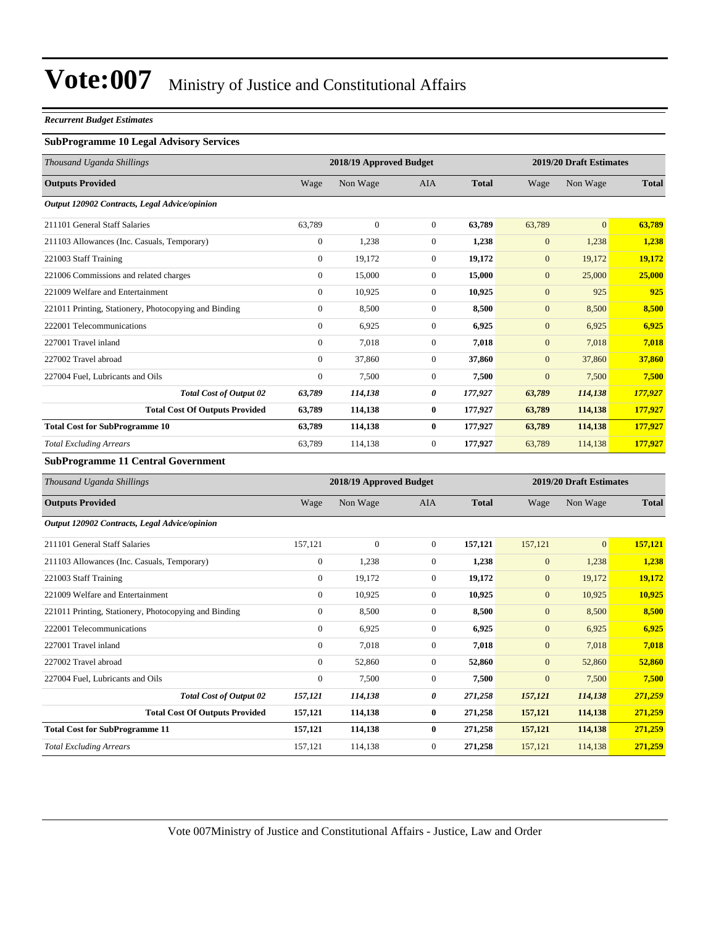#### *Recurrent Budget Estimates*

#### **SubProgramme 10 Legal Advisory Services**

| Thousand Uganda Shillings                             |                  | 2018/19 Approved Budget |                |              |                | 2019/20 Draft Estimates |              |
|-------------------------------------------------------|------------------|-------------------------|----------------|--------------|----------------|-------------------------|--------------|
| <b>Outputs Provided</b>                               | Wage             | Non Wage                | <b>AIA</b>     | <b>Total</b> | Wage           | Non Wage                | <b>Total</b> |
| Output 120902 Contracts, Legal Advice/opinion         |                  |                         |                |              |                |                         |              |
| 211101 General Staff Salaries                         | 63.789           | $\mathbf{0}$            | $\overline{0}$ | 63,789       | 63,789         | $\overline{0}$          | 63,789       |
| 211103 Allowances (Inc. Casuals, Temporary)           | $\boldsymbol{0}$ | 1,238                   | $\overline{0}$ | 1,238        | $\mathbf{0}$   | 1,238                   | 1,238        |
| 221003 Staff Training                                 | $\overline{0}$   | 19,172                  | $\overline{0}$ | 19,172       | $\mathbf{0}$   | 19,172                  | 19,172       |
| 221006 Commissions and related charges                | $\overline{0}$   | 15,000                  | $\overline{0}$ | 15,000       | $\mathbf{0}$   | 25,000                  | 25,000       |
| 221009 Welfare and Entertainment                      | $\overline{0}$   | 10,925                  | $\Omega$       | 10,925       | $\mathbf{0}$   | 925                     | 925          |
| 221011 Printing, Stationery, Photocopying and Binding | $\overline{0}$   | 8,500                   | $\overline{0}$ | 8,500        | $\mathbf{0}$   | 8,500                   | 8,500        |
| 222001 Telecommunications                             | $\overline{0}$   | 6,925                   | $\overline{0}$ | 6,925        | $\overline{0}$ | 6,925                   | 6,925        |
| 227001 Travel inland                                  | $\overline{0}$   | 7,018                   | 0              | 7,018        | $\mathbf{0}$   | 7,018                   | 7,018        |
| 227002 Travel abroad                                  | $\overline{0}$   | 37,860                  | $\overline{0}$ | 37,860       | $\mathbf{0}$   | 37,860                  | 37,860       |
| 227004 Fuel, Lubricants and Oils                      | $\overline{0}$   | 7,500                   | 0              | 7,500        | $\overline{0}$ | 7,500                   | 7,500        |
| <b>Total Cost of Output 02</b>                        | 63,789           | 114,138                 | 0              | 177,927      | 63,789         | 114,138                 | 177,927      |
| <b>Total Cost Of Outputs Provided</b>                 | 63,789           | 114,138                 | $\bf{0}$       | 177,927      | 63,789         | 114,138                 | 177,927      |
| <b>Total Cost for SubProgramme 10</b>                 | 63,789           | 114,138                 | $\bf{0}$       | 177,927      | 63,789         | 114,138                 | 177,927      |
| <b>Total Excluding Arrears</b>                        | 63,789           | 114,138                 | 0              | 177,927      | 63,789         | 114,138                 | 177,927      |
| <b>SubProgramme 11 Central Government</b>             |                  |                         |                |              |                |                         |              |

| Thousand Uganda Shillings                             |                  | 2018/19 Approved Budget |                |              |                | 2019/20 Draft Estimates |              |
|-------------------------------------------------------|------------------|-------------------------|----------------|--------------|----------------|-------------------------|--------------|
| <b>Outputs Provided</b>                               | Wage             | Non Wage                | <b>AIA</b>     | <b>Total</b> | Wage           | Non Wage                | <b>Total</b> |
| Output 120902 Contracts, Legal Advice/opinion         |                  |                         |                |              |                |                         |              |
| 211101 General Staff Salaries                         | 157,121          | $\mathbf{0}$            | $\overline{0}$ | 157,121      | 157,121        | $\overline{0}$          | 157,121      |
| 211103 Allowances (Inc. Casuals, Temporary)           | $\boldsymbol{0}$ | 1,238                   | 0              | 1,238        | $\mathbf{0}$   | 1,238                   | 1,238        |
| 221003 Staff Training                                 | $\boldsymbol{0}$ | 19,172                  | $\overline{0}$ | 19,172       | $\mathbf{0}$   | 19,172                  | 19,172       |
| 221009 Welfare and Entertainment                      | $\mathbf{0}$     | 10,925                  | $\mathbf{0}$   | 10,925       | $\overline{0}$ | 10,925                  | 10,925       |
| 221011 Printing, Stationery, Photocopying and Binding | $\mathbf{0}$     | 8,500                   | $\overline{0}$ | 8,500        | $\overline{0}$ | 8,500                   | 8,500        |
| 222001 Telecommunications                             | $\overline{0}$   | 6,925                   | 0              | 6,925        | $\mathbf{0}$   | 6,925                   | 6,925        |
| 227001 Travel inland                                  | $\mathbf{0}$     | 7,018                   | $\overline{0}$ | 7,018        | $\overline{0}$ | 7,018                   | 7,018        |
| 227002 Travel abroad                                  | $\Omega$         | 52,860                  | $\Omega$       | 52,860       | $\overline{0}$ | 52,860                  | 52,860       |
| 227004 Fuel, Lubricants and Oils                      | $\mathbf{0}$     | 7,500                   | $\overline{0}$ | 7,500        | $\mathbf{0}$   | 7,500                   | 7,500        |
| <b>Total Cost of Output 02</b>                        | 157,121          | 114,138                 | 0              | 271,258      | 157,121        | 114,138                 | 271,259      |
| <b>Total Cost Of Outputs Provided</b>                 | 157,121          | 114,138                 | $\bf{0}$       | 271,258      | 157,121        | 114,138                 | 271,259      |
| <b>Total Cost for SubProgramme 11</b>                 | 157,121          | 114,138                 | $\bf{0}$       | 271,258      | 157,121        | 114,138                 | 271,259      |
| <b>Total Excluding Arrears</b>                        | 157,121          | 114,138                 | 0              | 271,258      | 157,121        | 114,138                 | 271,259      |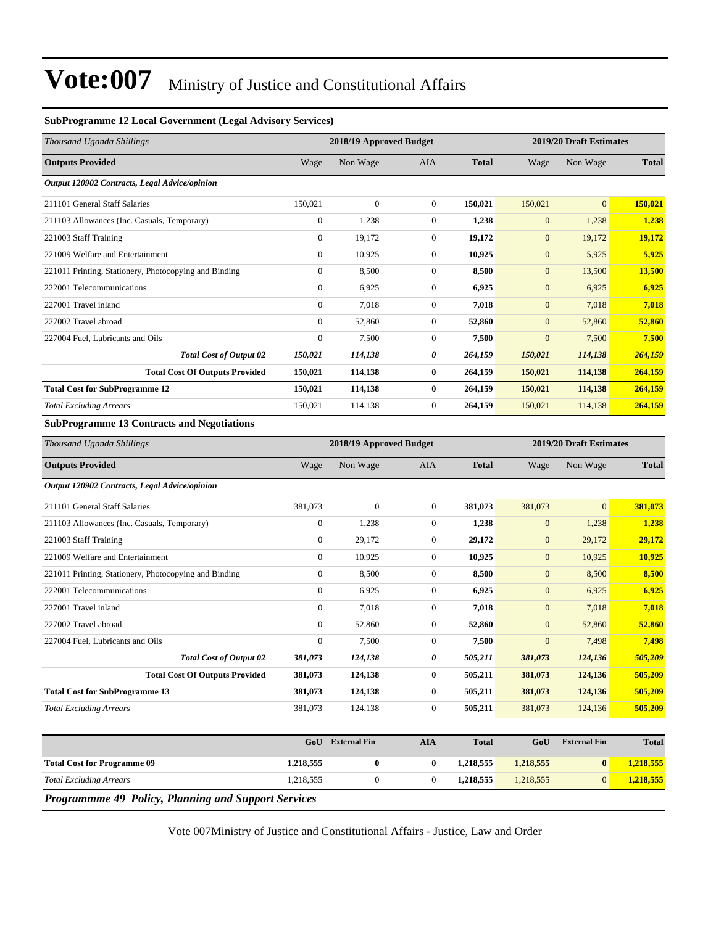#### **SubProgramme 12 Local Government (Legal Advisory Services)**

| Thousand Uganda Shillings                             |                  | 2018/19 Approved Budget |                       |              | 2019/20 Draft Estimates |              |              |  |
|-------------------------------------------------------|------------------|-------------------------|-----------------------|--------------|-------------------------|--------------|--------------|--|
| <b>Outputs Provided</b>                               | Wage             | Non Wage                | AIA                   | <b>Total</b> | Wage                    | Non Wage     | <b>Total</b> |  |
| Output 120902 Contracts, Legal Advice/opinion         |                  |                         |                       |              |                         |              |              |  |
| 211101 General Staff Salaries                         | 150,021          | $\mathbf{0}$            | $\mathbf{0}$          | 150,021      | 150,021                 | $\mathbf{0}$ | 150,021      |  |
| 211103 Allowances (Inc. Casuals, Temporary)           | $\boldsymbol{0}$ | 1,238                   | $\mathbf{0}$          | 1,238        | $\boldsymbol{0}$        | 1,238        | 1,238        |  |
| 221003 Staff Training                                 | $\boldsymbol{0}$ | 19,172                  | $\boldsymbol{0}$      | 19,172       | $\boldsymbol{0}$        | 19,172       | 19,172       |  |
| 221009 Welfare and Entertainment                      | $\overline{0}$   | 10,925                  | $\theta$              | 10,925       | $\boldsymbol{0}$        | 5,925        | 5,925        |  |
| 221011 Printing, Stationery, Photocopying and Binding | $\boldsymbol{0}$ | 8,500                   | $\boldsymbol{0}$      | 8,500        | $\boldsymbol{0}$        | 13,500       | 13,500       |  |
| 222001 Telecommunications                             | $\boldsymbol{0}$ | 6,925                   | $\mathbf{0}$          | 6,925        | $\mathbf{0}$            | 6,925        | 6,925        |  |
| 227001 Travel inland                                  | $\overline{0}$   | 7,018                   | $\boldsymbol{0}$      | 7,018        | $\boldsymbol{0}$        | 7,018        | 7,018        |  |
| 227002 Travel abroad                                  | $\boldsymbol{0}$ | 52,860                  | $\boldsymbol{0}$      | 52,860       | $\mathbf{0}$            | 52,860       | 52,860       |  |
| 227004 Fuel, Lubricants and Oils                      | $\overline{0}$   | 7,500                   | $\mathbf{0}$          | 7,500        | $\mathbf{0}$            | 7,500        | 7,500        |  |
| <b>Total Cost of Output 02</b>                        | 150,021          | 114,138                 | $\boldsymbol{\theta}$ | 264,159      | 150,021                 | 114,138      | 264,159      |  |
| <b>Total Cost Of Outputs Provided</b>                 | 150,021          | 114,138                 | $\bf{0}$              | 264,159      | 150,021                 | 114,138      | 264,159      |  |
| <b>Total Cost for SubProgramme 12</b>                 | 150,021          | 114,138                 | $\bf{0}$              | 264,159      | 150,021                 | 114,138      | 264,159      |  |
| <b>Total Excluding Arrears</b>                        | 150,021          | 114,138                 | $\boldsymbol{0}$      | 264,159      | 150,021                 | 114,138      | 264,159      |  |
| <b>SubProgramme 13 Contracts and Negotiations</b>     |                  |                         |                       |              |                         |              |              |  |
| Thousand Uganda Shillings                             |                  | 2018/19 Approved Budget |                       |              | 2019/20 Draft Estimates |              |              |  |
|                                                       |                  |                         |                       |              |                         |              |              |  |
| <b>Outputs Provided</b>                               | Wage             | Non Wage                | <b>AIA</b>            | <b>Total</b> | Wage                    | Non Wage     | <b>Total</b> |  |
| Output 120902 Contracts, Legal Advice/opinion         |                  |                         |                       |              |                         |              |              |  |
| 211101 General Staff Salaries                         | 381,073          | $\mathbf{0}$            | $\mathbf{0}$          | 381,073      | 381,073                 | $\mathbf{0}$ | 381,073      |  |
| 211103 Allowances (Inc. Casuals, Temporary)           | $\boldsymbol{0}$ | 1,238                   | $\boldsymbol{0}$      | 1,238        | $\mathbf{0}$            | 1,238        | 1,238        |  |
| 221003 Staff Training                                 | $\boldsymbol{0}$ | 29,172                  | $\boldsymbol{0}$      | 29,172       | $\boldsymbol{0}$        | 29,172       | 29,172       |  |
| 221009 Welfare and Entertainment                      | $\boldsymbol{0}$ | 10,925                  | $\boldsymbol{0}$      | 10,925       | $\boldsymbol{0}$        | 10,925       | 10,925       |  |
| 221011 Printing, Stationery, Photocopying and Binding | $\overline{0}$   | 8,500                   | $\mathbf{0}$          | 8,500        | $\mathbf{0}$            | 8,500        | 8,500        |  |
| 222001 Telecommunications                             | $\boldsymbol{0}$ | 6,925                   | $\boldsymbol{0}$      | 6,925        | $\mathbf{0}$            | 6,925        | 6,925        |  |
| 227001 Travel inland                                  | $\overline{0}$   | 7,018                   | $\mathbf{0}$          | 7,018        | $\mathbf{0}$            | 7,018        | 7,018        |  |
| 227002 Travel abroad                                  | $\overline{0}$   | 52,860                  | $\theta$              | 52,860       | $\overline{0}$          | 52,860       | 52,860       |  |
| 227004 Fuel, Lubricants and Oils                      | $\boldsymbol{0}$ | 7,500                   | $\boldsymbol{0}$      | 7,500        | $\mathbf{0}$            | 7,498        | 7,498        |  |
| <b>Total Cost of Output 02</b>                        | 381,073          | 124,138                 | 0                     | 505,211      | 381,073                 | 124,136      | 505,209      |  |
| <b>Total Cost Of Outputs Provided</b>                 | 381,073          | 124,138                 | $\bf{0}$              | 505,211      | 381,073                 | 124,136      | 505,209      |  |
| <b>Total Cost for SubProgramme 13</b>                 | 381,073          | 124,138                 | $\bf{0}$              | 505,211      | 381,073                 | 124,136      | 505,209      |  |
| <b>Total Excluding Arrears</b>                        | 381,073          | 124,138                 | $\boldsymbol{0}$      | 505,211      | 381,073                 | 124,136      | 505,209      |  |

|                                                            | GoU       | <b>External Fin</b> | AIA | <b>Total</b> | GoU       | <b>External Fin</b> | <b>Total</b> |
|------------------------------------------------------------|-----------|---------------------|-----|--------------|-----------|---------------------|--------------|
| <b>Total Cost for Programme 09</b>                         | 1.218.555 |                     |     | 1.218.555    | 1.218.555 |                     | 1.218.555    |
| <b>Total Excluding Arrears</b>                             | 1,218,555 |                     |     | 1.218.555    | 1.218.555 |                     | 1.218.555    |
| <b>Programmme 49 Policy, Planning and Support Services</b> |           |                     |     |              |           |                     |              |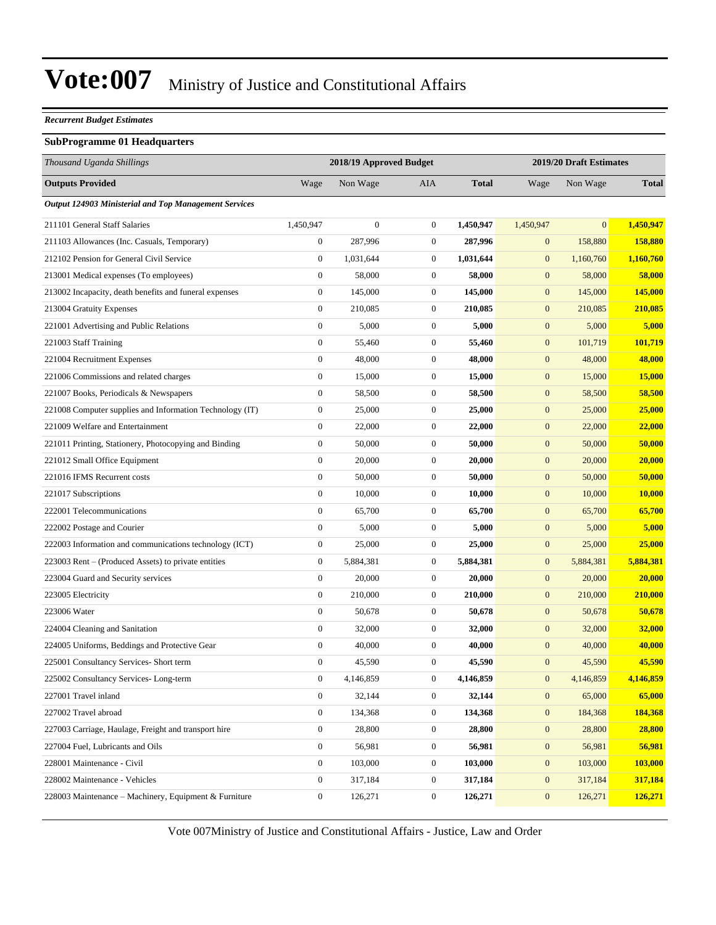#### *Recurrent Budget Estimates*

#### **SubProgramme 01 Headquarters**

| Thousand Uganda Shillings                                    |                  | 2018/19 Approved Budget |                  |              |                  | 2019/20 Draft Estimates |                  |  |
|--------------------------------------------------------------|------------------|-------------------------|------------------|--------------|------------------|-------------------------|------------------|--|
| <b>Outputs Provided</b>                                      | Wage             | Non Wage                | AIA              | <b>Total</b> | Wage             | Non Wage                | <b>Total</b>     |  |
| <b>Output 124903 Ministerial and Top Management Services</b> |                  |                         |                  |              |                  |                         |                  |  |
| 211101 General Staff Salaries                                | 1,450,947        | $\boldsymbol{0}$        | $\mathbf{0}$     | 1,450,947    | 1,450,947        | $\mathbf{0}$            | 1,450,947        |  |
| 211103 Allowances (Inc. Casuals, Temporary)                  | $\boldsymbol{0}$ | 287,996                 | $\mathbf{0}$     | 287,996      | $\boldsymbol{0}$ | 158,880                 | 158,880          |  |
| 212102 Pension for General Civil Service                     | $\boldsymbol{0}$ | 1,031,644               | $\mathbf{0}$     | 1,031,644    | $\mathbf{0}$     | 1,160,760               | 1,160,760        |  |
| 213001 Medical expenses (To employees)                       | $\boldsymbol{0}$ | 58,000                  | $\mathbf{0}$     | 58,000       | $\mathbf{0}$     | 58,000                  | 58,000           |  |
| 213002 Incapacity, death benefits and funeral expenses       | $\boldsymbol{0}$ | 145,000                 | $\mathbf{0}$     | 145,000      | $\mathbf{0}$     | 145,000                 | 145,000          |  |
| 213004 Gratuity Expenses                                     | $\boldsymbol{0}$ | 210,085                 | $\mathbf{0}$     | 210,085      | $\mathbf{0}$     | 210,085                 | 210,085          |  |
| 221001 Advertising and Public Relations                      | $\boldsymbol{0}$ | 5,000                   | $\mathbf{0}$     | 5,000        | $\boldsymbol{0}$ | 5,000                   | 5,000            |  |
| 221003 Staff Training                                        | $\boldsymbol{0}$ | 55,460                  | $\mathbf{0}$     | 55,460       | $\mathbf{0}$     | 101,719                 | 101,719          |  |
| 221004 Recruitment Expenses                                  | $\boldsymbol{0}$ | 48,000                  | $\mathbf{0}$     | 48,000       | $\mathbf{0}$     | 48,000                  | 48,000           |  |
| 221006 Commissions and related charges                       | $\boldsymbol{0}$ | 15,000                  | $\mathbf{0}$     | 15,000       | $\mathbf{0}$     | 15,000                  | 15,000           |  |
| 221007 Books, Periodicals & Newspapers                       | $\boldsymbol{0}$ | 58,500                  | $\mathbf{0}$     | 58,500       | $\boldsymbol{0}$ | 58,500                  | 58,500           |  |
| 221008 Computer supplies and Information Technology (IT)     | $\boldsymbol{0}$ | 25,000                  | $\boldsymbol{0}$ | 25,000       | $\boldsymbol{0}$ | 25,000                  | 25,000           |  |
| 221009 Welfare and Entertainment                             | $\boldsymbol{0}$ | 22,000                  | $\mathbf{0}$     | 22,000       | $\mathbf{0}$     | 22,000                  | 22,000           |  |
| 221011 Printing, Stationery, Photocopying and Binding        | $\boldsymbol{0}$ | 50,000                  | $\mathbf{0}$     | 50,000       | $\mathbf{0}$     | 50,000                  | 50,000           |  |
| 221012 Small Office Equipment                                | $\boldsymbol{0}$ | 20,000                  | $\mathbf{0}$     | 20,000       | $\mathbf{0}$     | 20,000                  | 20,000           |  |
| 221016 IFMS Recurrent costs                                  | $\boldsymbol{0}$ | 50,000                  | $\mathbf{0}$     | 50,000       | $\boldsymbol{0}$ | 50,000                  | 50,000           |  |
| 221017 Subscriptions                                         | $\boldsymbol{0}$ | 10,000                  | $\boldsymbol{0}$ | 10,000       | $\mathbf{0}$     | 10,000                  | 10,000           |  |
| 222001 Telecommunications                                    | $\boldsymbol{0}$ | 65,700                  | $\mathbf{0}$     | 65,700       | $\mathbf{0}$     | 65,700                  | 65,700           |  |
| 222002 Postage and Courier                                   | $\boldsymbol{0}$ | 5,000                   | $\mathbf{0}$     | 5,000        | $\mathbf{0}$     | 5,000                   | 5,000            |  |
| 222003 Information and communications technology (ICT)       | $\boldsymbol{0}$ | 25,000                  | $\mathbf{0}$     | 25,000       | $\mathbf{0}$     | 25,000                  | 25,000           |  |
| 223003 Rent – (Produced Assets) to private entities          | $\boldsymbol{0}$ | 5,884,381               | $\mathbf{0}$     | 5,884,381    | $\boldsymbol{0}$ | 5,884,381               | 5,884,381        |  |
| 223004 Guard and Security services                           | $\boldsymbol{0}$ | 20,000                  | $\mathbf{0}$     | 20,000       | $\mathbf{0}$     | 20,000                  | 20,000           |  |
| 223005 Electricity                                           | $\boldsymbol{0}$ | 210,000                 | $\mathbf{0}$     | 210,000      | $\mathbf{0}$     | 210,000                 | 210,000          |  |
| 223006 Water                                                 | $\boldsymbol{0}$ | 50,678                  | $\mathbf{0}$     | 50,678       | $\mathbf{0}$     | 50,678                  | 50,678           |  |
| 224004 Cleaning and Sanitation                               | $\boldsymbol{0}$ | 32,000                  | $\mathbf{0}$     | 32,000       | $\mathbf{0}$     | 32,000                  | 32,000           |  |
| 224005 Uniforms, Beddings and Protective Gear                | $\boldsymbol{0}$ | 40,000                  | $\mathbf{0}$     | 40,000       | $\mathbf{0}$     | 40,000                  | 40,000           |  |
| 225001 Consultancy Services- Short term                      | $\boldsymbol{0}$ | 45,590                  | $\boldsymbol{0}$ | 45,590       | $\mathbf{0}$     | 45,590                  | 45,590           |  |
| 225002 Consultancy Services-Long-term                        | 0                | 4,146,859               | $\boldsymbol{0}$ | 4,146,859    | $\mathbf{0}$     | 4,146,859               | <u>4,146,859</u> |  |
| 227001 Travel inland                                         | $\boldsymbol{0}$ | 32,144                  | $\mathbf{0}$     | 32,144       | $\mathbf{0}$     | 65,000                  | 65,000           |  |
| 227002 Travel abroad                                         | $\boldsymbol{0}$ | 134,368                 | $\overline{0}$   | 134,368      | $\boldsymbol{0}$ | 184,368                 | 184,368          |  |
| 227003 Carriage, Haulage, Freight and transport hire         | $\boldsymbol{0}$ | 28,800                  | $\boldsymbol{0}$ | 28,800       | $\boldsymbol{0}$ | 28,800                  | 28,800           |  |
| 227004 Fuel, Lubricants and Oils                             | $\boldsymbol{0}$ | 56,981                  | $\boldsymbol{0}$ | 56,981       | $\boldsymbol{0}$ | 56,981                  | 56,981           |  |
| 228001 Maintenance - Civil                                   | $\boldsymbol{0}$ | 103,000                 | $\boldsymbol{0}$ | 103,000      | $\mathbf{0}$     | 103,000                 | 103,000          |  |
| 228002 Maintenance - Vehicles                                | $\boldsymbol{0}$ | 317,184                 | $\boldsymbol{0}$ | 317,184      | $\mathbf{0}$     | 317,184                 | 317,184          |  |
| 228003 Maintenance - Machinery, Equipment & Furniture        | $\boldsymbol{0}$ | 126,271                 | $\overline{0}$   | 126,271      | $\boldsymbol{0}$ | 126,271                 | 126,271          |  |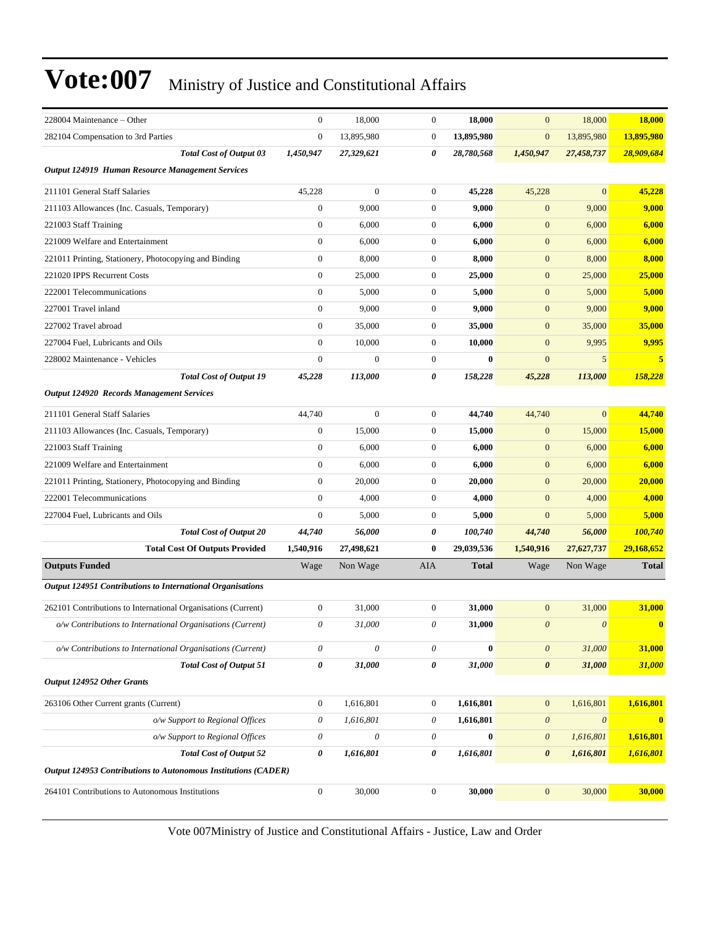| 228004 Maintenance – Other                                     | $\mathbf{0}$              | 18,000                    | $\boldsymbol{0}$ | 18,000       | $\mathbf{0}$              | 18,000                | 18,000       |
|----------------------------------------------------------------|---------------------------|---------------------------|------------------|--------------|---------------------------|-----------------------|--------------|
| 282104 Compensation to 3rd Parties                             | $\boldsymbol{0}$          | 13,895,980                | $\boldsymbol{0}$ | 13,895,980   | $\mathbf{0}$              | 13,895,980            | 13,895,980   |
| <b>Total Cost of Output 03</b>                                 | 1,450,947                 | 27,329,621                | 0                | 28,780,568   | 1,450,947                 | 27,458,737            | 28,909,684   |
| Output 124919 Human Resource Management Services               |                           |                           |                  |              |                           |                       |              |
| 211101 General Staff Salaries                                  | 45,228                    | $\boldsymbol{0}$          | $\boldsymbol{0}$ | 45,228       | 45,228                    | $\mathbf{0}$          | 45,228       |
| 211103 Allowances (Inc. Casuals, Temporary)                    | $\boldsymbol{0}$          | 9,000                     | $\boldsymbol{0}$ | 9,000        | $\mathbf{0}$              | 9,000                 | 9,000        |
| 221003 Staff Training                                          | $\mathbf{0}$              | 6,000                     | $\boldsymbol{0}$ | 6,000        | $\mathbf{0}$              | 6,000                 | 6,000        |
| 221009 Welfare and Entertainment                               | $\boldsymbol{0}$          | 6,000                     | $\boldsymbol{0}$ | 6,000        | $\mathbf{0}$              | 6,000                 | 6,000        |
| 221011 Printing, Stationery, Photocopying and Binding          | $\mathbf{0}$              | 8,000                     | $\boldsymbol{0}$ | 8,000        | $\mathbf{0}$              | 8,000                 | 8,000        |
| 221020 IPPS Recurrent Costs                                    | $\mathbf{0}$              | 25,000                    | $\boldsymbol{0}$ | 25,000       | $\mathbf{0}$              | 25,000                | 25,000       |
| 222001 Telecommunications                                      | $\boldsymbol{0}$          | 5,000                     | $\boldsymbol{0}$ | 5,000        | $\mathbf{0}$              | 5,000                 | 5,000        |
| 227001 Travel inland                                           | $\mathbf{0}$              | 9,000                     | $\boldsymbol{0}$ | 9,000        | $\mathbf{0}$              | 9,000                 | 9,000        |
| 227002 Travel abroad                                           | $\mathbf{0}$              | 35,000                    | $\boldsymbol{0}$ | 35,000       | $\mathbf{0}$              | 35,000                | 35,000       |
| 227004 Fuel, Lubricants and Oils                               | $\boldsymbol{0}$          | 10,000                    | $\boldsymbol{0}$ | 10,000       | $\mathbf{0}$              | 9,995                 | 9,995        |
| 228002 Maintenance - Vehicles                                  | $\mathbf{0}$              | $\boldsymbol{0}$          | $\boldsymbol{0}$ | 0            | $\mathbf{0}$              | 5                     | 5            |
| <b>Total Cost of Output 19</b>                                 | 45,228                    | 113,000                   | 0                | 158,228      | 45,228                    | 113,000               | 158,228      |
| <b>Output 124920 Records Management Services</b>               |                           |                           |                  |              |                           |                       |              |
| 211101 General Staff Salaries                                  | 44,740                    | $\boldsymbol{0}$          | $\boldsymbol{0}$ | 44,740       | 44,740                    | $\mathbf{0}$          | 44,740       |
| 211103 Allowances (Inc. Casuals, Temporary)                    | $\boldsymbol{0}$          | 15,000                    | $\boldsymbol{0}$ | 15,000       | $\mathbf{0}$              | 15,000                | 15,000       |
| 221003 Staff Training                                          | $\mathbf{0}$              | 6,000                     | $\boldsymbol{0}$ | 6,000        | $\mathbf{0}$              | 6,000                 | 6,000        |
| 221009 Welfare and Entertainment                               | $\mathbf{0}$              | 6,000                     | $\boldsymbol{0}$ | 6,000        | $\mathbf{0}$              | 6,000                 | 6,000        |
| 221011 Printing, Stationery, Photocopying and Binding          | $\mathbf{0}$              | 20,000                    | $\boldsymbol{0}$ | 20,000       | $\mathbf{0}$              | 20,000                | 20,000       |
| 222001 Telecommunications                                      | $\mathbf{0}$              | 4,000                     | $\boldsymbol{0}$ | 4,000        | $\mathbf{0}$              | 4,000                 | 4,000        |
| 227004 Fuel, Lubricants and Oils                               | $\overline{0}$            | 5,000                     | $\boldsymbol{0}$ | 5,000        | $\mathbf{0}$              | 5,000                 | 5,000        |
| <b>Total Cost of Output 20</b>                                 | 44,740                    | 56,000                    | 0                | 100,740      | 44,740                    | 56,000                | 100,740      |
| <b>Total Cost Of Outputs Provided</b>                          | 1,540,916                 | 27,498,621                | $\bf{0}$         | 29,039,536   | 1,540,916                 | 27,627,737            | 29,168,652   |
| <b>Outputs Funded</b>                                          | Wage                      | Non Wage                  | AIA              | <b>Total</b> | Wage                      | Non Wage              | <b>Total</b> |
| Output 124951 Contributions to International Organisations     |                           |                           |                  |              |                           |                       |              |
| 262101 Contributions to International Organisations (Current)  | $\boldsymbol{0}$          | 31,000                    | $\boldsymbol{0}$ | 31,000       | $\mathbf{0}$              | 31,000                | 31,000       |
| o/w Contributions to International Organisations (Current)     | 0                         | 31,000                    | 0                | 31.000       | $\theta$                  | $\boldsymbol{\theta}$ | $\bf{0}$     |
| o/w Contributions to International Organisations (Current)     | 0                         | $\boldsymbol{\mathit{0}}$ | $\theta$         | $\bf{0}$     | $\boldsymbol{\theta}$     | 31,000                | 31,000       |
| <b>Total Cost of Output 51</b>                                 | 0                         | 31,000                    | $\pmb{\theta}$   | 31,000       | $\boldsymbol{\theta}$     | 31,000                | 31,000       |
| <b>Output 124952 Other Grants</b>                              |                           |                           |                  |              |                           |                       |              |
| 263106 Other Current grants (Current)                          | $\boldsymbol{0}$          | 1,616,801                 | $\boldsymbol{0}$ | 1,616,801    | $\boldsymbol{0}$          | 1,616,801             | 1,616,801    |
| o/w Support to Regional Offices                                | 0                         | 1,616,801                 | $\theta$         | 1,616,801    | $\boldsymbol{\theta}$     | $\boldsymbol{\theta}$ | $\mathbf{0}$ |
| o/w Support to Regional Offices                                | $\boldsymbol{\mathit{0}}$ | $\boldsymbol{\mathit{0}}$ | $\theta$         | $\bf{0}$     | $\boldsymbol{\mathit{0}}$ | 1,616,801             | 1,616,801    |
| <b>Total Cost of Output 52</b>                                 | 0                         | 1,616,801                 | 0                | 1,616,801    | $\boldsymbol{\theta}$     | 1,616,801             | 1,616,801    |
| Output 124953 Contributions to Autonomous Institutions (CADER) |                           |                           |                  |              |                           |                       |              |
| 264101 Contributions to Autonomous Institutions                | $\boldsymbol{0}$          | 30,000                    | $\boldsymbol{0}$ | 30,000       | $\mathbf{0}$              | 30,000                | 30,000       |
|                                                                |                           |                           |                  |              |                           |                       |              |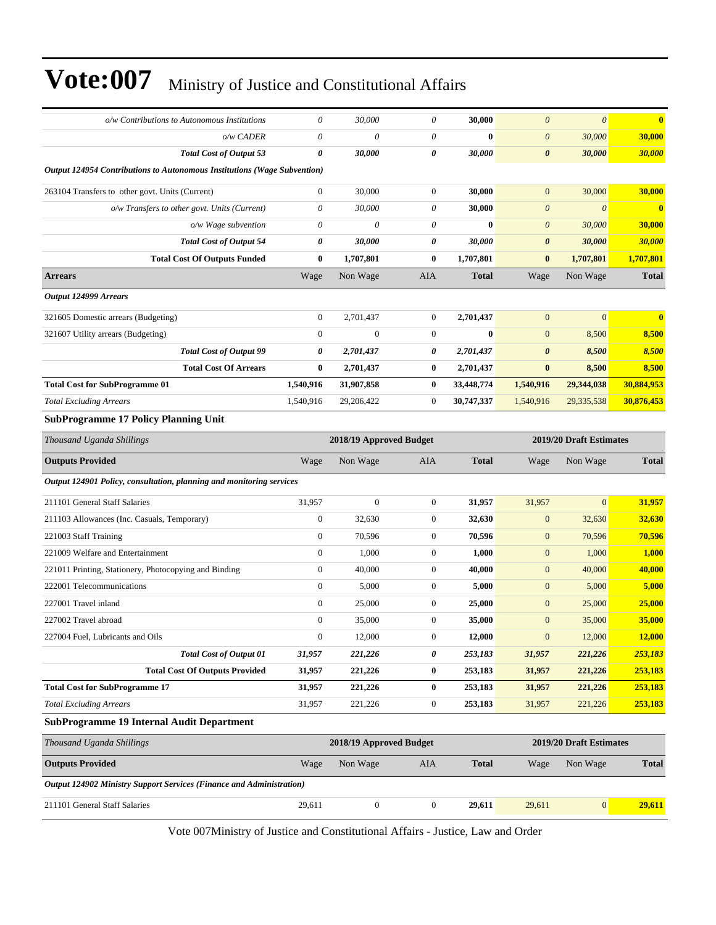| o/w Contributions to Autonomous Institutions                             | 0                     | 30,000                  | 0                | 30,000       | $\theta$              | $\theta$                | $\bf{0}$      |
|--------------------------------------------------------------------------|-----------------------|-------------------------|------------------|--------------|-----------------------|-------------------------|---------------|
| o/w CADER                                                                | $\theta$              | 0                       | 0                | $\bf{0}$     | $\boldsymbol{\theta}$ | 30,000                  | 30,000        |
| <b>Total Cost of Output 53</b>                                           | $\boldsymbol{\theta}$ | 30,000                  | 0                | 30,000       | $\boldsymbol{\theta}$ | 30,000                  | 30,000        |
| Output 124954 Contributions to Autonomous Institutions (Wage Subvention) |                       |                         |                  |              |                       |                         |               |
| 263104 Transfers to other govt. Units (Current)                          | $\boldsymbol{0}$      | 30,000                  | 0                | 30,000       | $\mathbf{0}$          | 30,000                  | 30,000        |
| o/w Transfers to other govt. Units (Current)                             | $\theta$              | 30,000                  | 0                | 30,000       | $\boldsymbol{\theta}$ | $\boldsymbol{\theta}$   | $\bf{0}$      |
| $o/w$ Wage subvention                                                    | $\theta$              | 0                       | 0                | $\bf{0}$     | $\boldsymbol{0}$      | 30,000                  | 30,000        |
| <b>Total Cost of Output 54</b>                                           | 0                     | 30,000                  | 0                | 30,000       | $\boldsymbol{\theta}$ | 30,000                  | 30,000        |
| <b>Total Cost Of Outputs Funded</b>                                      | $\bf{0}$              | 1,707,801               | 0                | 1,707,801    | $\bf{0}$              | 1,707,801               | 1,707,801     |
| <b>Arrears</b>                                                           | Wage                  | Non Wage                | AIA              | <b>Total</b> | Wage                  | Non Wage                | <b>Total</b>  |
| Output 124999 Arrears                                                    |                       |                         |                  |              |                       |                         |               |
| 321605 Domestic arrears (Budgeting)                                      | $\boldsymbol{0}$      | 2,701,437               | 0                | 2,701,437    | $\mathbf{0}$          | $\overline{0}$          | $\mathbf{0}$  |
| 321607 Utility arrears (Budgeting)                                       | $\overline{0}$        | $\boldsymbol{0}$        | $\mathbf{0}$     | $\bf{0}$     | $\mathbf{0}$          | 8,500                   | 8,500         |
| <b>Total Cost of Output 99</b>                                           | 0                     | 2,701,437               | 0                | 2,701,437    | $\boldsymbol{\theta}$ | 8,500                   | 8,500         |
| <b>Total Cost Of Arrears</b>                                             | $\bf{0}$              | 2,701,437               | $\bf{0}$         | 2,701,437    | $\bf{0}$              | 8,500                   | 8,500         |
| <b>Total Cost for SubProgramme 01</b>                                    | 1,540,916             | 31,907,858              | $\bf{0}$         | 33,448,774   | 1,540,916             | 29,344,038              | 30,884,953    |
| <b>Total Excluding Arrears</b>                                           | 1,540,916             | 29,206,422              | $\boldsymbol{0}$ | 30,747,337   | 1,540,916             | 29,335,538              | 30,876,453    |
| <b>SubProgramme 17 Policy Planning Unit</b>                              |                       |                         |                  |              |                       |                         |               |
| Thousand Uganda Shillings                                                |                       | 2018/19 Approved Budget |                  |              |                       | 2019/20 Draft Estimates |               |
| <b>Outputs Provided</b>                                                  | Wage                  | Non Wage                | <b>AIA</b>       | <b>Total</b> | Wage                  | Non Wage                | <b>Total</b>  |
| Output 124901 Policy, consultation, planning and monitoring services     |                       |                         |                  |              |                       |                         |               |
| 211101 General Staff Salaries                                            | 31,957                | $\boldsymbol{0}$        | $\mathbf{0}$     | 31,957       | 31,957                | $\mathbf{0}$            | 31,957        |
| 211103 Allowances (Inc. Casuals, Temporary)                              | $\mathbf{0}$          | 32,630                  | $\boldsymbol{0}$ | 32,630       | $\boldsymbol{0}$      | 32,630                  | 32,630        |
| 221003 Staff Training                                                    | $\theta$              | 70,596                  | $\boldsymbol{0}$ | 70,596       | $\mathbf{0}$          | 70,596                  | 70,596        |
| 221009 Welfare and Entertainment                                         | $\theta$              | 1,000                   | $\boldsymbol{0}$ | 1,000        | $\mathbf{0}$          | 1,000                   | <b>1,000</b>  |
| 221011 Printing, Stationery, Photocopying and Binding                    | $\boldsymbol{0}$      | 40,000                  | $\boldsymbol{0}$ | 40,000       | $\mathbf{0}$          | 40,000                  | 40,000        |
| 222001 Telecommunications                                                | $\mathbf{0}$          | 5,000                   | $\mathbf{0}$     | 5,000        | $\mathbf{0}$          | 5,000                   | 5,000         |
| 227001 Travel inland                                                     | $\mathbf{0}$          | 25,000                  | $\boldsymbol{0}$ | 25,000       | $\mathbf{0}$          | 25,000                  | 25,000        |
| 227002 Travel abroad                                                     | $\mathbf{0}$          | 35,000                  | $\overline{0}$   | 35,000       | $\mathbf{0}$          | 35,000                  | 35,000        |
| 227004 Fuel, Lubricants and Oils                                         | $\boldsymbol{0}$      | 12,000                  | 0                | 12,000       | $\mathbf{0}$          | 12,000                  | <b>12,000</b> |
| <b>Total Cost of Output 01</b>                                           | 31,957                | 221,226                 | 0                | 253,183      | 31,957                | 221,226                 | 253,183       |
| <b>Total Cost Of Outputs Provided</b>                                    | 31,957                | 221,226                 | $\boldsymbol{0}$ | 253,183      | 31,957                | 221,226                 | 253,183       |
| <b>Total Cost for SubProgramme 17</b>                                    | 31,957                | 221,226                 | 0                | 253,183      | 31,957                | 221,226                 | 253,183       |
| <b>Total Excluding Arrears</b>                                           | 31,957                | 221,226                 | $\boldsymbol{0}$ | 253,183      | 31,957                | 221,226                 | 253,183       |
| <b>SubProgramme 19 Internal Audit Department</b>                         |                       |                         |                  |              |                       |                         |               |
| Thousand Uganda Shillings                                                |                       | 2018/19 Approved Budget |                  |              |                       | 2019/20 Draft Estimates |               |
| <b>Outputs Provided</b>                                                  | Wage                  | Non Wage                | AIA              | <b>Total</b> | Wage                  | Non Wage                | <b>Total</b>  |
| Output 124902 Ministry Support Services (Finance and Administration)     |                       |                         |                  |              |                       |                         |               |
| 211101 General Staff Salaries                                            | 29,611                | $\boldsymbol{0}$        | $\boldsymbol{0}$ | 29,611       | 29,611                | 0                       | 29,611        |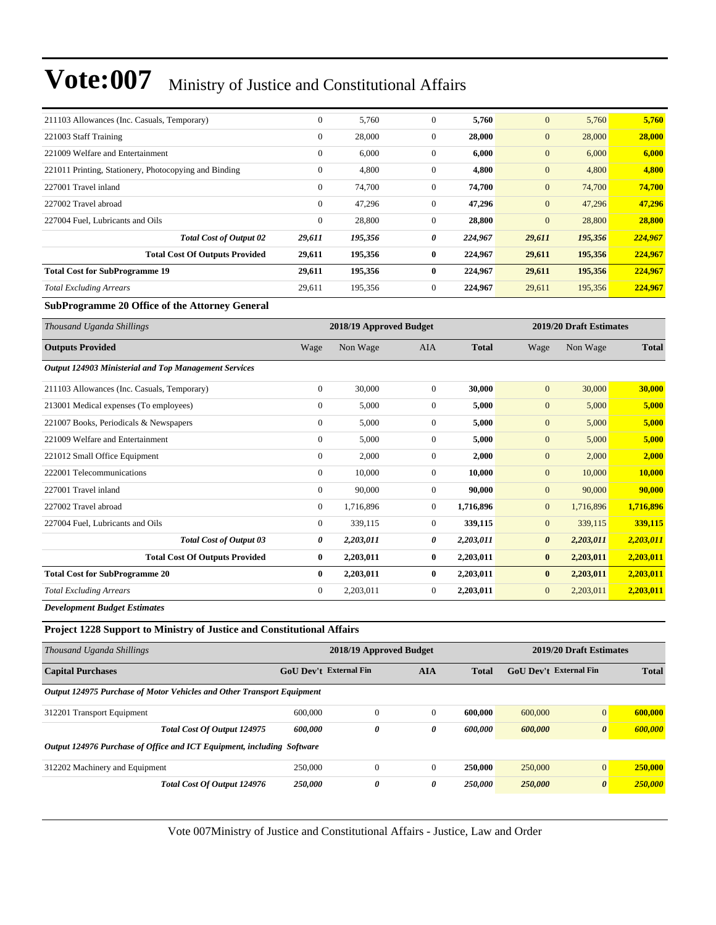| 211103 Allowances (Inc. Casuals, Temporary)           | $\mathbf{0}$ | 5,760   | $\mathbf{0}$ | 5,760   | $\mathbf{0}$ | 5,760   | 5,760   |
|-------------------------------------------------------|--------------|---------|--------------|---------|--------------|---------|---------|
| 221003 Staff Training                                 | $\mathbf{0}$ | 28,000  | $\mathbf{0}$ | 28,000  | $\mathbf{0}$ | 28,000  | 28,000  |
| 221009 Welfare and Entertainment                      | $\mathbf{0}$ | 6,000   | $\mathbf{0}$ | 6,000   | $\mathbf{0}$ | 6,000   | 6,000   |
| 221011 Printing, Stationery, Photocopying and Binding | $\mathbf{0}$ | 4,800   | $\mathbf{0}$ | 4,800   | $\mathbf{0}$ | 4,800   | 4,800   |
| 227001 Travel inland                                  | $\mathbf{0}$ | 74,700  | $\mathbf{0}$ | 74,700  | $\mathbf{0}$ | 74,700  | 74,700  |
| 227002 Travel abroad                                  | $\mathbf{0}$ | 47,296  | $\mathbf{0}$ | 47,296  | $\mathbf{0}$ | 47,296  | 47,296  |
| 227004 Fuel, Lubricants and Oils                      | $\mathbf{0}$ | 28,800  | $\Omega$     | 28,800  | $\mathbf{0}$ | 28,800  | 28,800  |
| <b>Total Cost of Output 02</b>                        | 29,611       | 195,356 | 0            | 224,967 | 29,611       | 195,356 | 224,967 |
| <b>Total Cost Of Outputs Provided</b>                 | 29,611       | 195,356 | $\bf{0}$     | 224,967 | 29,611       | 195,356 | 224,967 |
| <b>Total Cost for SubProgramme 19</b>                 | 29,611       | 195,356 | $\mathbf{0}$ | 224,967 | 29,611       | 195,356 | 224,967 |
| <b>Total Excluding Arrears</b>                        | 29,611       | 195,356 | $\Omega$     | 224,967 | 29,611       | 195,356 | 224,967 |

#### **SubProgramme 20 Office of the Attorney General**

| Thousand Uganda Shillings                             | 2018/19 Approved Budget |           |              |              |                | 2019/20 Draft Estimates |              |  |
|-------------------------------------------------------|-------------------------|-----------|--------------|--------------|----------------|-------------------------|--------------|--|
| <b>Outputs Provided</b>                               | Wage                    | Non Wage  | AIA          | <b>Total</b> | Wage           | Non Wage                | <b>Total</b> |  |
| Output 124903 Ministerial and Top Management Services |                         |           |              |              |                |                         |              |  |
| 211103 Allowances (Inc. Casuals, Temporary)           | $\overline{0}$          | 30,000    | $\Omega$     | 30,000       | $\mathbf{0}$   | 30,000                  | 30,000       |  |
| 213001 Medical expenses (To employees)                | 0                       | 5,000     | $\theta$     | 5,000        | $\mathbf{0}$   | 5,000                   | 5,000        |  |
| 221007 Books, Periodicals & Newspapers                | $\boldsymbol{0}$        | 5,000     | $\mathbf{0}$ | 5,000        | $\mathbf{0}$   | 5,000                   | 5,000        |  |
| 221009 Welfare and Entertainment                      | $\mathbf{0}$            | 5,000     | $\mathbf{0}$ | 5,000        | $\mathbf{0}$   | 5,000                   | 5,000        |  |
| 221012 Small Office Equipment                         | $\mathbf{0}$            | 2,000     | $\mathbf{0}$ | 2,000        | $\mathbf{0}$   | 2,000                   | 2,000        |  |
| 222001 Telecommunications                             | $\overline{0}$          | 10,000    | $\Omega$     | 10,000       | $\overline{0}$ | 10,000                  | 10,000       |  |
| 227001 Travel inland                                  | $\mathbf{0}$            | 90,000    | $\mathbf{0}$ | 90,000       | $\overline{0}$ | 90,000                  | 90,000       |  |
| 227002 Travel abroad                                  | $\overline{0}$          | 1,716,896 | $\mathbf{0}$ | 1,716,896    | $\mathbf{0}$   | 1,716,896               | 1,716,896    |  |
| 227004 Fuel, Lubricants and Oils                      | $\overline{0}$          | 339,115   | $\mathbf{0}$ | 339,115      | $\mathbf{0}$   | 339,115                 | 339,115      |  |
| <b>Total Cost of Output 03</b>                        | 0                       | 2,203,011 | 0            | 2,203,011    | 0              | 2,203,011               | 2,203,011    |  |
| <b>Total Cost Of Outputs Provided</b>                 | $\bf{0}$                | 2,203,011 | $\bf{0}$     | 2,203,011    | $\bf{0}$       | 2,203,011               | 2,203,011    |  |
| <b>Total Cost for SubProgramme 20</b>                 | $\bf{0}$                | 2,203,011 | $\bf{0}$     | 2,203,011    | $\bf{0}$       | 2,203,011               | 2,203,011    |  |
| <b>Total Excluding Arrears</b>                        | $\mathbf{0}$            | 2,203,011 | $\mathbf{0}$ | 2,203,011    | $\overline{0}$ | 2,203,011               | 2,203,011    |  |

*Development Budget Estimates*

|  |  |  |  | <b>Project 1228 Support to Ministry of Justice and Constitutional Affairs</b> |
|--|--|--|--|-------------------------------------------------------------------------------|
|--|--|--|--|-------------------------------------------------------------------------------|

| Thousand Uganda Shillings                                              | 2018/19 Approved Budget |                               |              |              | 2019/20 Draft Estimates       |                       |              |  |  |
|------------------------------------------------------------------------|-------------------------|-------------------------------|--------------|--------------|-------------------------------|-----------------------|--------------|--|--|
| <b>Capital Purchases</b>                                               |                         | <b>GoU</b> Dev't External Fin | AIA          | <b>Total</b> | <b>GoU</b> Dev't External Fin |                       | <b>Total</b> |  |  |
| Output 124975 Purchase of Motor Vehicles and Other Transport Equipment |                         |                               |              |              |                               |                       |              |  |  |
| 312201 Transport Equipment                                             | 600,000                 | $\mathbf{0}$                  | $\mathbf{0}$ | 600.000      | 600,000                       | $\mathbf{0}$          | 600,000      |  |  |
| <b>Total Cost Of Output 124975</b>                                     | 600,000                 | 0                             | 0            | 600,000      | 600,000                       | $\boldsymbol{\theta}$ | 600,000      |  |  |
| Output 124976 Purchase of Office and ICT Equipment, including Software |                         |                               |              |              |                               |                       |              |  |  |
| 312202 Machinery and Equipment                                         | 250,000                 | $\mathbf{0}$                  | $\Omega$     | 250,000      | 250,000                       | $\mathbf{0}$          | 250,000      |  |  |
| Total Cost Of Output 124976                                            | 250,000                 | 0                             | 0            | 250,000      | 250,000                       | $\boldsymbol{\theta}$ | 250,000      |  |  |